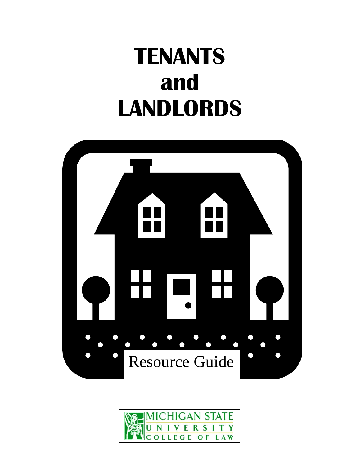# **TENANTS and LANDLORDS**



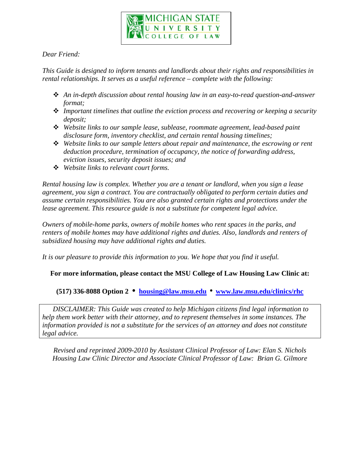

#### *Dear Friend:*

*This Guide is designed to inform tenants and landlords about their rights and responsibilities in rental relationships. It serves as a useful reference – complete with the following:*

- *An in-depth discussion about rental housing law in an easy-to-read question-and-answer format;*
- *Important timelines that outline the eviction process and recovering or keeping a security deposit;*
- *Website links to our sample lease, sublease, roommate agreement, lead-based paint disclosure form, inventory checklist, and certain rental housing timelines;*
- *Website links to our sample letters about repair and maintenance, the escrowing or rent deduction procedure, termination of occupancy, the notice of forwarding address, eviction issues, security deposit issues; and*
- *Website links to relevant court forms.*

*Rental housing law is complex. Whether you are a tenant or landlord, when you sign a lease agreement, you sign a contract. You are contractually obligated to perform certain duties and assume certain responsibilities. You are also granted certain rights and protections under the lease agreement. This resource guide is not a substitute for competent legal advice.*

*Owners of mobile-home parks, owners of mobile homes who rent spaces in the parks, and renters of mobile homes may have additional rights and duties. Also, landlords and renters of subsidized housing may have additional rights and duties.*

*It is our pleasure to provide this information to you. We hope that you find it useful.* 

#### **For more information, please contact the MSU College of Law Housing Law Clinic at:**

#### **(517) 336-8088 Option 2 • [housing@law.msu.edu](mailto:housing@law.msu.edu)** • **[www.law.msu.edu/clinics/rhc](http://www.law.msu.edu/clinics/rhc)**

*DISCLAIMER: This Guide was created to help Michigan citizens find legal information to help them work better with their attorney, and to represent themselves in some instances. The information provided is not a substitute for the services of an attorney and does not constitute legal advice.*

*Revised and reprinted 2009-2010 by Assistant Clinical Professor of Law: Elan S. Nichols Housing Law Clinic Director and Associate Clinical Professor of Law: Brian G. Gilmore*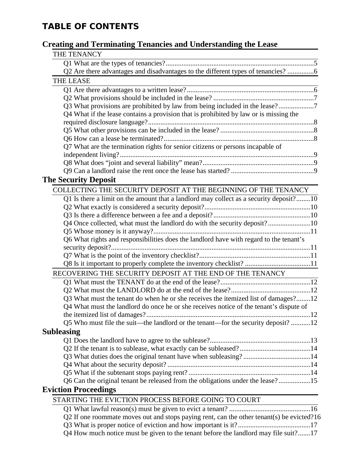### **TABLE OF CONTENTS**

#### **Creating and Terminating Tenancies and Understanding the Lease**

| $\mathbf{S}$ and Terminating Tenancies and Understanding the Dease                        |  |
|-------------------------------------------------------------------------------------------|--|
| THE TENANCY<br><u> 1989 - Johann Barn, mars an t-Amerikaansk kommunister (</u>            |  |
|                                                                                           |  |
| Q2 Are there advantages and disadvantages to the different types of tenancies? 6          |  |
| THE LEASE                                                                                 |  |
|                                                                                           |  |
|                                                                                           |  |
| Q3 What provisions are prohibited by law from being included in the lease?                |  |
| Q4 What if the lease contains a provision that is prohibited by law or is missing the     |  |
|                                                                                           |  |
|                                                                                           |  |
|                                                                                           |  |
| Q7 What are the termination rights for senior citizens or persons incapable of            |  |
|                                                                                           |  |
|                                                                                           |  |
|                                                                                           |  |
| <b>The Security Deposit</b>                                                               |  |
| COLLECTING THE SECURITY DEPOSIT AT THE BEGINNING OF THE TENANCY                           |  |
| Q1 Is there a limit on the amount that a landlord may collect as a security deposit?10    |  |
|                                                                                           |  |
|                                                                                           |  |
| Q4 Once collected, what must the landlord do with the security deposit?10                 |  |
|                                                                                           |  |
| Q6 What rights and responsibilities does the landlord have with regard to the tenant's    |  |
|                                                                                           |  |
|                                                                                           |  |
| Q8 Is it important to properly complete the inventory checklist? 11                       |  |
| RECOVERING THE SECURITY DEPOSIT AT THE END OF THE TENANCY                                 |  |
|                                                                                           |  |
|                                                                                           |  |
| Q3 What must the tenant do when he or she receives the itemized list of damages?12        |  |
| Q4 What must the landlord do once he or she receives notice of the tenant's dispute of    |  |
|                                                                                           |  |
| Q5 Who must file the suit—the landlord or the tenant—for the security deposit? 12         |  |
| Subleasing                                                                                |  |
|                                                                                           |  |
|                                                                                           |  |
|                                                                                           |  |
|                                                                                           |  |
|                                                                                           |  |
| Q6 Can the original tenant be released from the obligations under the lease?15            |  |
| <b>Eviction Proceedings</b>                                                               |  |
| STARTING THE EVICTION PROCESS BEFORE GOING TO COURT                                       |  |
|                                                                                           |  |
| Q2 If one roommate moves out and stops paying rent, can the other tenant(s) be evicted?16 |  |
|                                                                                           |  |
| Q4 How much notice must be given to the tenant before the landlord may file suit?17       |  |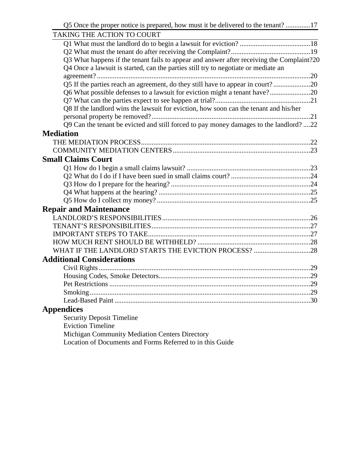| Q5 Once the proper notice is prepared, how must it be delivered to the tenant? 17         |  |
|-------------------------------------------------------------------------------------------|--|
| TAKING THE ACTION TO COURT                                                                |  |
|                                                                                           |  |
|                                                                                           |  |
| Q3 What happens if the tenant fails to appear and answer after receiving the Complaint?20 |  |
| Q4 Once a lawsuit is started, can the parties still try to negotiate or mediate an        |  |
|                                                                                           |  |
| Q5 If the parties reach an agreement, do they still have to appear in court?20            |  |
| Q6 What possible defenses to a lawsuit for eviction might a tenant have?20                |  |
|                                                                                           |  |
| Q8 If the landlord wins the lawsuit for eviction, how soon can the tenant and his/her     |  |
|                                                                                           |  |
| Q9 Can the tenant be evicted and still forced to pay money damages to the landlord? 22    |  |
| <b>Mediation</b>                                                                          |  |
|                                                                                           |  |
|                                                                                           |  |
| <b>Small Claims Court</b>                                                                 |  |
|                                                                                           |  |
|                                                                                           |  |
|                                                                                           |  |
|                                                                                           |  |
|                                                                                           |  |
| <b>Repair and Maintenance</b>                                                             |  |
|                                                                                           |  |
|                                                                                           |  |
|                                                                                           |  |
|                                                                                           |  |
|                                                                                           |  |
| <b>Additional Considerations</b>                                                          |  |
|                                                                                           |  |
|                                                                                           |  |
|                                                                                           |  |
| Smoking.                                                                                  |  |
|                                                                                           |  |
| <b>Appendices</b>                                                                         |  |
| <b>Security Deposit Timeline</b>                                                          |  |
| <b>Eviction Timeline</b>                                                                  |  |

Michigan Community Mediation Centers Directory

Location of Documents and Forms Referred to in this Guide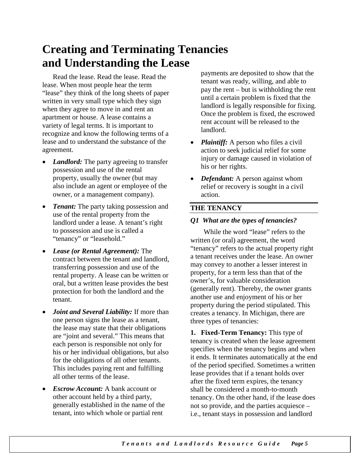# **Creating and Terminating Tenancies and Understanding the Lease**

Read the lease. Read the lease. Read the lease. When most people hear the term "lease" they think of the long sheets of paper written in very small type which they sign when they agree to move in and rent an apartment or house. A lease contains a variety of legal terms. It is important to recognize and know the following terms of a lease and to understand the substance of the agreement.

- *Landlord:* The party agreeing to transfer possession and use of the rental property, usually the owner (but may also include an agent or employee of the owner, or a management company).
- *Tenant:* The party taking possession and use of the rental property from the landlord under a lease. A tenant's right to possession and use is called a "tenancy" or "leasehold."
- *Lease (or Rental Agreement):* The contract between the tenant and landlord, transferring possession and use of the rental property. A lease can be written or oral, but a written lease provides the best protection for both the landlord and the tenant.
- *Joint and Several Liability:* If more than one person signs the lease as a tenant, the lease may state that their obligations are "joint and several." This means that each person is responsible not only for his or her individual obligations, but also for the obligations of all other tenants. This includes paying rent and fulfilling all other terms of the lease.
- *Escrow Account:* A bank account or other account held by a third party, generally established in the name of the tenant, into which whole or partial rent

payments are deposited to show that the tenant was ready, willing, and able to pay the rent – but is withholding the rent until a certain problem is fixed that the landlord is legally responsible for fixing. Once the problem is fixed, the escrowed rent account will be released to the landlord.

- *Plaintiff:* A person who files a civil action to seek judicial relief for some injury or damage caused in violation of his or her rights.
- *Defendant:* A person against whom relief or recovery is sought in a civil action.

#### **THE TENANCY**

#### *Q1 What are the types of tenancies?*

While the word "lease" refers to the written (or oral) agreement, the word "tenancy" refers to the actual property right a tenant receives under the lease. An owner may convey to another a lesser interest in property, for a term less than that of the owner's, for valuable consideration (generally rent). Thereby, the owner grants another use and enjoyment of his or her property during the period stipulated. This creates a tenancy. In Michigan, there are three types of tenancies:

**1. Fixed-Term Tenancy:** This type of tenancy is created when the lease agreement specifies when the tenancy begins and when it ends. It terminates automatically at the end of the period specified. Sometimes a written lease provides that if a tenant holds over after the fixed term expires, the tenancy shall be considered a month-to-month tenancy. On the other hand, if the lease does not so provide, and the parties acquiesce – i.e., tenant stays in possession and landlord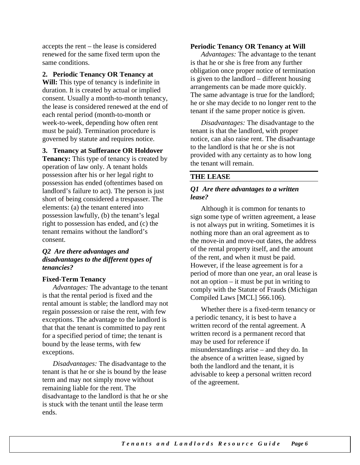accepts the rent – the lease is considered renewed for the same fixed term upon the same conditions.

**2. Periodic Tenancy OR Tenancy at** 

**Will:** This type of tenancy is indefinite in duration. It is created by actual or implied consent. Usually a month-to-month tenancy, the lease is considered renewed at the end of each rental period (month-to-month or week-to-week, depending how often rent must be paid). Termination procedure is governed by statute and requires notice.

**3. Tenancy at Sufferance OR Holdover** 

**Tenancy:** This type of tenancy is created by operation of law only. A tenant holds possession after his or her legal right to possession has ended (oftentimes based on landlord's failure to act). The person is just short of being considered a trespasser. The elements: (a) the tenant entered into possession lawfully, (b) the tenant's legal right to possession has ended, and (c) the tenant remains without the landlord's consent.

#### *Q2 Are there advantages and disadvantages to the different types of tenancies?*

#### **Fixed-Term Tenancy**

*Advantages:* The advantage to the tenant is that the rental period is fixed and the rental amount is stable; the landlord may not regain possession or raise the rent, with few exceptions. The advantage to the landlord is that that the tenant is committed to pay rent for a specified period of time; the tenant is bound by the lease terms, with few exceptions.

*Disadvantages:* The disadvantage to the tenant is that he or she is bound by the lease term and may not simply move without remaining liable for the rent. The disadvantage to the landlord is that he or she is stuck with the tenant until the lease term ends.

#### **Periodic Tenancy OR Tenancy at Will**

*Advantages:* The advantage to the tenant is that he or she is free from any further obligation once proper notice of termination is given to the landlord – different housing arrangements can be made more quickly. The same advantage is true for the landlord; he or she may decide to no longer rent to the tenant if the same proper notice is given.

*Disadvantages:* The disadvantage to the tenant is that the landlord, with proper notice, can also raise rent. The disadvantage to the landlord is that he or she is not provided with any certainty as to how long the tenant will remain.

#### **THE LEASE**

#### *Q1 Are there advantages to a written lease?*

Although it is common for tenants to sign some type of written agreement, a lease is not always put in writing. Sometimes it is nothing more than an oral agreement as to the move-in and move-out dates, the address of the rental property itself, and the amount of the rent, and when it must be paid. However, if the lease agreement is for a period of more than one year, an oral lease is not an option – it must be put in writing to comply with the Statute of Frauds (Michigan Compiled Laws [MCL] 566.106).

Whether there is a fixed-term tenancy or a periodic tenancy, it is best to have a written record of the rental agreement. A written record is a permanent record that may be used for reference if misunderstandings arise – and they do. In the absence of a written lease, signed by both the landlord and the tenant, it is advisable to keep a personal written record of the agreement.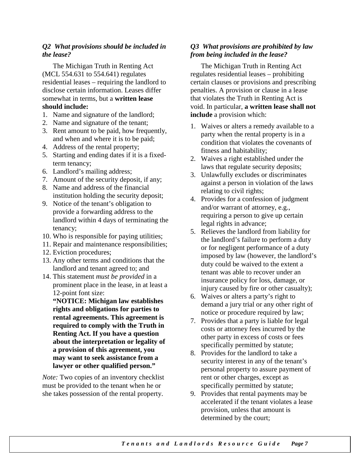#### *Q2 What provisions should be included in the lease?*

The Michigan Truth in Renting Act (MCL 554.631 to 554.641) regulates residential leases – requiring the landlord to disclose certain information. Leases differ somewhat in terms, but a **written lease should include:**

- 1. Name and signature of the landlord;
- 2. Name and signature of the tenant;
- 3. Rent amount to be paid, how frequently, and when and where it is to be paid;
- 4. Address of the rental property;
- 5. Starting and ending dates if it is a fixedterm tenancy;
- 6. Landlord's mailing address;
- 7. Amount of the security deposit, if any;
- 8. Name and address of the financial institution holding the security deposit;
- 9. Notice of the tenant's obligation to provide a forwarding address to the landlord within 4 days of terminating the tenancy;
- 10. Who is responsible for paying utilities;
- 11. Repair and maintenance responsibilities;
- 12. Eviction procedures;
- 13. Any other terms and conditions that the landlord and tenant agreed to; and
- 14. This statement *must be provided* in a prominent place in the lease, in at least a 12-point font size:

**"NOTICE: Michigan law establishes rights and obligations for parties to rental agreements. This agreement is required to comply with the Truth in Renting Act. If you have a question about the interpretation or legality of a provision of this agreement, you may want to seek assistance from a lawyer or other qualified person."**

*Note:* Two copies of an inventory checklist must be provided to the tenant when he or she takes possession of the rental property.

#### *Q3 What provisions are prohibited by law from being included in the lease?*

The Michigan Truth in Renting Act regulates residential leases – prohibiting certain clauses or provisions and prescribing penalties. A provision or clause in a lease that violates the Truth in Renting Act is void. In particular, **a written lease shall not include** a provision which:

- 1. Waives or alters a remedy available to a party when the rental property is in a condition that violates the covenants of fitness and habitability;
- 2. Waives a right established under the laws that regulate security deposits;
- 3. Unlawfully excludes or discriminates against a person in violation of the laws relating to civil rights;
- 4. Provides for a confession of judgment and/or warrant of attorney, e.g., requiring a person to give up certain legal rights in advance;
- 5. Relieves the landlord from liability for the landlord's failure to perform a duty or for negligent performance of a duty imposed by law (however, the landlord's duty could be waived to the extent a tenant was able to recover under an insurance policy for loss, damage, or injury caused by fire or other casualty);
- 6. Waives or alters a party's right to demand a jury trial or any other right of notice or procedure required by law;
- 7. Provides that a party is liable for legal costs or attorney fees incurred by the other party in excess of costs or fees specifically permitted by statute;
- 8. Provides for the landlord to take a security interest in any of the tenant's personal property to assure payment of rent or other charges, except as specifically permitted by statute;
- 9. Provides that rental payments may be accelerated if the tenant violates a lease provision, unless that amount is determined by the court;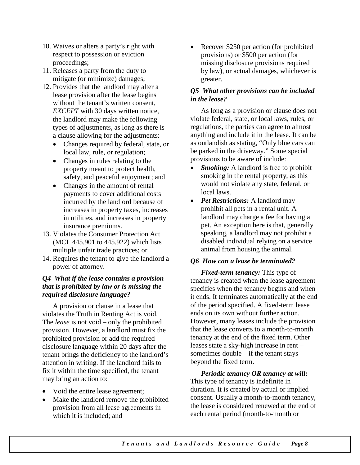- 10. Waives or alters a party's right with respect to possession or eviction proceedings;
- 11. Releases a party from the duty to mitigate (or minimize) damages;
- 12. Provides that the landlord may alter a lease provision after the lease begins without the tenant's written consent, *EXCEPT* with 30 days written notice, the landlord may make the following types of adjustments, as long as there is a clause allowing for the adjustments:
	- Changes required by federal, state, or local law, rule, or regulation;
	- Changes in rules relating to the property meant to protect health, safety, and peaceful enjoyment; and
	- Changes in the amount of rental payments to cover additional costs incurred by the landlord because of increases in property taxes, increases in utilities, and increases in property insurance premiums.
- 13. Violates the Consumer Protection Act (MCL 445.901 to 445.922) which lists multiple unfair trade practices; or
- 14. Requires the tenant to give the landlord a power of attorney.

#### *Q4 What if the lease contains a provision that is prohibited by law or is missing the required disclosure language?*

A provision or clause in a lease that violates the Truth in Renting Act is void. The *lease* is not void – only the prohibited provision. However, a landlord must fix the prohibited provision or add the required disclosure language within 20 days after the tenant brings the deficiency to the landlord's attention in writing. If the landlord fails to fix it within the time specified, the tenant may bring an action to:

- Void the entire lease agreement;
- Make the landlord remove the prohibited provision from all lease agreements in which it is included; and

• Recover \$250 per action (for prohibited provisions) or \$500 per action (for missing disclosure provisions required by law), or actual damages, whichever is greater.

#### *Q5 What other provisions can be included in the lease?*

As long as a provision or clause does not violate federal, state, or local laws, rules, or regulations, the parties can agree to almost anything and include it in the lease. It can be as outlandish as stating, "Only blue cars can be parked in the driveway." Some special provisions to be aware of include:

- **Smoking:** A landlord is free to prohibit smoking in the rental property, as this would not violate any state, federal, or local laws.
- *Pet Restrictions:* A landlord may prohibit all pets in a rental unit. A landlord may charge a fee for having a pet. An exception here is that, generally speaking, a landlord may not prohibit a disabled individual relying on a service animal from housing the animal.

#### *Q6 How can a lease be terminated?*

*Fixed-term tenancy:* This type of tenancy is created when the lease agreement specifies when the tenancy begins and when it ends. It terminates automatically at the end of the period specified. A fixed-term lease ends on its own without further action. However, many leases include the provision that the lease converts to a month-to-month tenancy at the end of the fixed term. Other leases state a sky-high increase in rent – sometimes double – if the tenant stays beyond the fixed term.

*Periodic tenancy OR tenancy at will:*  This type of tenancy is indefinite in duration. It is created by actual or implied consent. Usually a month-to-month tenancy, the lease is considered renewed at the end of each rental period (month-to-month or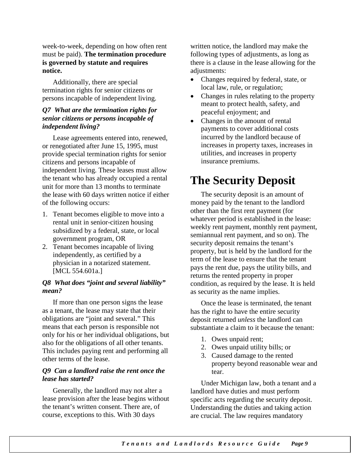week-to-week, depending on how often rent must be paid). **The termination procedure is governed by statute and requires notice.**

Additionally, there are special termination rights for senior citizens or persons incapable of independent living.

#### *Q7 What are the termination rights for senior citizens or persons incapable of independent living?*

Lease agreements entered into, renewed, or renegotiated after June 15, 1995, must provide special termination rights for senior citizens and persons incapable of independent living. These leases must allow the tenant who has already occupied a rental unit for more than 13 months to terminate the lease with 60 days written notice if either of the following occurs:

- 1. Tenant becomes eligible to move into a rental unit in senior-citizen housing subsidized by a federal, state, or local government program, OR
- 2. Tenant becomes incapable of living independently, as certified by a physician in a notarized statement. [MCL 554.601a.]

#### *Q8 What does "joint and several liability" mean?*

If more than one person signs the lease as a tenant, the lease may state that their obligations are "joint and several." This means that each person is responsible not only for his or her individual obligations, but also for the obligations of all other tenants. This includes paying rent and performing all other terms of the lease.

#### *Q9 Can a landlord raise the rent once the lease has started?*

Generally, the landlord may not alter a lease provision after the lease begins without the tenant's written consent. There are, of course, exceptions to this. With 30 days

written notice, the landlord may make the following types of adjustments, as long as there is a clause in the lease allowing for the adjustments:

- Changes required by federal, state, or local law, rule, or regulation;
- Changes in rules relating to the property meant to protect health, safety, and peaceful enjoyment; and
- Changes in the amount of rental payments to cover additional costs incurred by the landlord because of increases in property taxes, increases in utilities, and increases in property insurance premiums.

# **The Security Deposit**

The security deposit is an amount of money paid by the tenant to the landlord other than the first rent payment (for whatever period is established in the lease: weekly rent payment, monthly rent payment, semiannual rent payment, and so on). The security deposit remains the tenant's property, but is held by the landlord for the term of the lease to ensure that the tenant pays the rent due, pays the utility bills, and returns the rented property in proper condition, as required by the lease. It is held as security as the name implies.

Once the lease is terminated, the tenant has the right to have the entire security deposit returned *unless* the landlord can substantiate a claim to it because the tenant:

- 1. Owes unpaid rent;
- 2. Owes unpaid utility bills; or
- 3. Caused damage to the rented property beyond reasonable wear and tear.

Under Michigan law, both a tenant and a landlord have duties and must perform specific acts regarding the security deposit. Understanding the duties and taking action are crucial. The law requires mandatory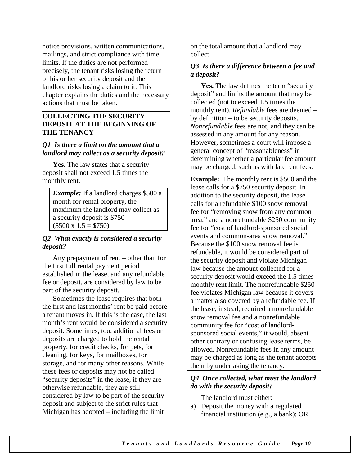notice provisions, written communications, mailings, and strict compliance with time limits. If the duties are not performed precisely, the tenant risks losing the return of his or her security deposit and the landlord risks losing a claim to it. This chapter explains the duties and the necessary actions that must be taken.

#### **COLLECTING THE SECURITY DEPOSIT AT THE BEGINNING OF THE TENANCY**

#### *Q1 Is there a limit on the amount that a landlord may collect as a security deposit?*

Yes. The law states that a security deposit shall not exceed 1.5 times the monthly rent.

*Example:* If a landlord charges \$500 a month for rental property, the maximum the landlord may collect as a security deposit is \$750  $($500 \times 1.5 = $750).$ 

#### *Q2 What exactly is considered a security deposit?*

Any prepayment of rent – other than for the first full rental payment period established in the lease, and any refundable fee or deposit, are considered by law to be part of the security deposit.

Sometimes the lease requires that both the first and last months' rent be paid before a tenant moves in. If this is the case, the last month's rent would be considered a security deposit. Sometimes, too, additional fees or deposits are charged to hold the rental property, for credit checks, for pets, for cleaning, for keys, for mailboxes, for storage, and for many other reasons. While these fees or deposits may not be called "security deposits" in the lease, if they are otherwise refundable, they are still considered by law to be part of the security deposit and subject to the strict rules that Michigan has adopted – including the limit

on the total amount that a landlord may collect.

#### *Q3 Is there a difference between a fee and a deposit?*

**Yes.** The law defines the term "security deposit" and limits the amount that may be collected (not to exceed 1.5 times the monthly rent). *Refundable* fees are deemed – by definition – to be security deposits. *Nonrefundable* fees are not; and they can be assessed in any amount for any reason. However, sometimes a court will impose a general concept of "reasonableness" in determining whether a particular fee amount may be charged, such as with late rent fees.

**Example:** The monthly rent is \$500 and the lease calls for a \$750 security deposit. In addition to the security deposit, the lease calls for a refundable \$100 snow removal fee for "removing snow from any common area," and a nonrefundable \$250 community fee for "cost of landlord-sponsored social events and common-area snow removal." Because the \$100 snow removal fee is refundable, it would be considered part of the security deposit and violate Michigan law because the amount collected for a security deposit would exceed the 1.5 times monthly rent limit. The nonrefundable \$250 fee violates Michigan law because it covers a matter also covered by a refundable fee. If the lease, instead, required a nonrefundable snow removal fee and a nonrefundable community fee for "cost of landlordsponsored social events," it would, absent other contrary or confusing lease terms, be allowed. Nonrefundable fees in any amount may be charged as long as the tenant accepts them by undertaking the tenancy.

#### *Q4 Once collected, what must the landlord do with the security deposit?*

The landlord must either:

a) Deposit the money with a regulated financial institution (e.g., a bank); OR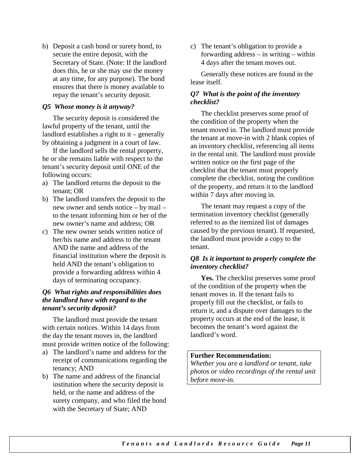b) Deposit a cash bond or surety bond, to secure the entire deposit, with the Secretary of State. (Note: If the landlord does this, he or she may use the money at any time, for any purpose). The bond ensures that there is money available to repay the tenant's security deposit.

#### *Q5 Whose money is it anyway?*

The security deposit is considered the lawful property of the tenant, until the landlord establishes a right to it – generally by obtaining a judgment in a court of law.

If the landlord sells the rental property, he or she remains liable with respect to the tenant's security deposit until ONE of the following occurs:

- a) The landlord returns the deposit to the tenant; OR
- b) The landlord transfers the deposit to the new owner and sends notice – by mail – to the tenant informing him or her of the new owner's name and address; OR
- c) The new owner sends written notice of her/his name and address to the tenant AND the name and address of the financial institution where the deposit is held AND the tenant's obligation to provide a forwarding address within 4 days of terminating occupancy.

#### *Q6 What rights and responsibilities does the landlord have with regard to the tenant's security deposit?*

The landlord must provide the tenant with certain notices. Within 14 days from the day the tenant moves in, the landlord must provide written notice of the following:

- a) The landlord's name and address for the receipt of communications regarding the tenancy; AND
- b) The name and address of the financial institution where the security deposit is held, or the name and address of the surety company, and who filed the bond with the Secretary of State; AND

c) The tenant's obligation to provide a forwarding address – in writing – within 4 days after the tenant moves out.

Generally these notices are found in the lease itself.

#### *Q7 What is the point of the inventory checklist?*

The checklist preserves some proof of the condition of the property when the tenant moved in. The landlord must provide the tenant at move-in with 2 blank copies of an inventory checklist, referencing all items in the rental unit. The landlord must provide written notice on the first page of the checklist that the tenant must properly complete the checklist, noting the condition of the property, and return it to the landlord within 7 days after moving in.

The tenant may request a copy of the termination inventory checklist (generally referred to as the itemized list of damages caused by the previous tenant). If requested, the landlord must provide a copy to the tenant.

#### *Q8 Is it important to properly complete the inventory checklist?*

**Yes.** The checklist preserves some proof of the condition of the property when the tenant moves in. If the tenant fails to properly fill out the checklist, or fails to return it, and a dispute over damages to the property occurs at the end of the lease, it becomes the tenant's word against the landlord's word.

#### **Further Recommendation:**

*Whether you are a landlord or tenant, take photos or video recordings of the rental unit before move-in.*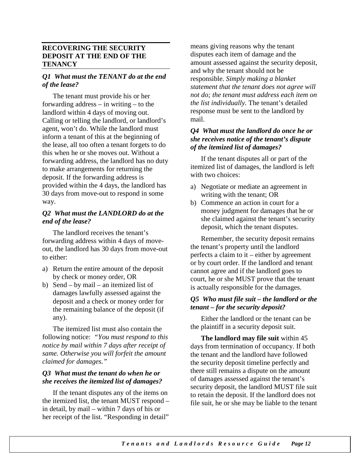#### **RECOVERING THE SECURITY DEPOSIT AT THE END OF THE TENANCY**

#### *Q1 What must the TENANT do at the end of the lease?*

The tenant must provide his or her forwarding address – in writing – to the landlord within 4 days of moving out. Calling or telling the landlord, or landlord's agent, won't do. While the landlord must inform a tenant of this at the beginning of the lease, all too often a tenant forgets to do this when he or she moves out. Without a forwarding address, the landlord has no duty to make arrangements for returning the deposit. If the forwarding address is provided within the 4 days, the landlord has 30 days from move-out to respond in some way.

#### *Q2 What must the LANDLORD do at the end of the lease?*

The landlord receives the tenant's forwarding address within 4 days of moveout, the landlord has 30 days from move-out to either:

- a) Return the entire amount of the deposit by check or money order, OR
- b) Send by mail an itemized list of damages lawfully assessed against the deposit and a check or money order for the remaining balance of the deposit (if any).

The itemized list must also contain the following notice: *"You must respond to this notice by mail within 7 days after receipt of same. Otherwise you will forfeit the amount claimed for damages."*

#### *Q3 What must the tenant do when he or she receives the itemized list of damages?*

If the tenant disputes any of the items on the itemized list, the tenant MUST respond – in detail, by mail – within 7 days of his or her receipt of the list. "Responding in detail"

means giving reasons why the tenant disputes each item of damage and the amount assessed against the security deposit, and why the tenant should not be responsible. *Simply making a blanket statement that the tenant does not agree will not do; the tenant must address each item on the list individually.* The tenant's detailed response must be sent to the landlord by mail.

#### *Q4 What must the landlord do once he or she receives notice of the tenant's dispute of the itemized list of damages?*

If the tenant disputes all or part of the itemized list of damages, the landlord is left with two choices:

- a) Negotiate or mediate an agreement in writing with the tenant; OR
- b) Commence an action in court for a money judgment for damages that he or she claimed against the tenant's security deposit, which the tenant disputes.

Remember, the security deposit remains the tenant's property until the landlord perfects a claim to it – either by agreement or by court order. If the landlord and tenant cannot agree and if the landlord goes to court, he or she MUST prove that the tenant is actually responsible for the damages.

#### *Q5 Who must file suit – the landlord or the tenant – for the security deposit?*

Either the landlord or the tenant can be the plaintiff in a security deposit suit.

**The landlord may file suit** within 45 days from termination of occupancy. If both the tenant and the landlord have followed the security deposit timeline perfectly and there still remains a dispute on the amount of damages assessed against the tenant's security deposit, the landlord MUST file suit to retain the deposit. If the landlord does not file suit, he or she may be liable to the tenant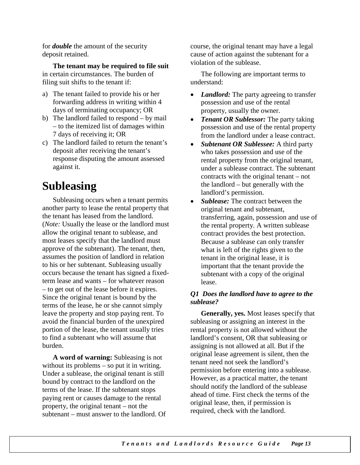for *double* the amount of the security deposit retained.

**The tenant may be required to file suit** in certain circumstances. The burden of filing suit shifts to the tenant if:

- a) The tenant failed to provide his or her forwarding address in writing within 4 days of terminating occupancy; OR
- b) The landlord failed to respond by mail – to the itemized list of damages within 7 days of receiving it; OR
- c) The landlord failed to return the tenant's deposit after receiving the tenant's response disputing the amount assessed against it.

# **Subleasing**

Subleasing occurs when a tenant permits another party to lease the rental property that the tenant has leased from the landlord. (*Note:* Usually the lease or the landlord must allow the original tenant to sublease, and most leases specify that the landlord must approve of the subtenant). The tenant, then, assumes the position of landlord in relation to his or her subtenant. Subleasing usually occurs because the tenant has signed a fixedterm lease and wants – for whatever reason – to get out of the lease before it expires. Since the original tenant is bound by the terms of the lease, he or she cannot simply leave the property and stop paying rent. To avoid the financial burden of the unexpired portion of the lease, the tenant usually tries to find a subtenant who will assume that burden.

**A word of warning:** Subleasing is not without its problems – so put it in writing. Under a sublease, the original tenant is still bound by contract to the landlord on the terms of the lease. If the subtenant stops paying rent or causes damage to the rental property, the original tenant – not the subtenant – must answer to the landlord. Of course, the original tenant may have a legal cause of action against the subtenant for a violation of the sublease.

The following are important terms to understand:

- *Landlord:* The party agreeing to transfer possession and use of the rental property, usually the owner.
- *Tenant OR Sublessor:* The party taking possession and use of the rental property from the landlord under a lease contract.
- *Subtenant OR Sublessee:* A third party who takes possession and use of the rental property from the original tenant, under a sublease contract. The subtenant contracts with the original tenant – not the landlord – but generally with the landlord's permission.
- *Sublease:* The contract between the original tenant and subtenant, transferring, again, possession and use of the rental property. A written sublease contract provides the best protection. Because a sublease can only transfer what is left of the rights given to the tenant in the original lease, it is important that the tenant provide the subtenant with a copy of the original lease.

#### *Q1 Does the landlord have to agree to the sublease?*

**Generally, yes.** Most leases specify that subleasing or assigning an interest in the rental property is not allowed without the landlord's consent, OR that subleasing or assigning is not allowed at all. But if the original lease agreement is silent, then the tenant need not seek the landlord's permission before entering into a sublease. However, as a practical matter, the tenant should notify the landlord of the sublease ahead of time. First check the terms of the original lease, then, if permission is required, check with the landlord.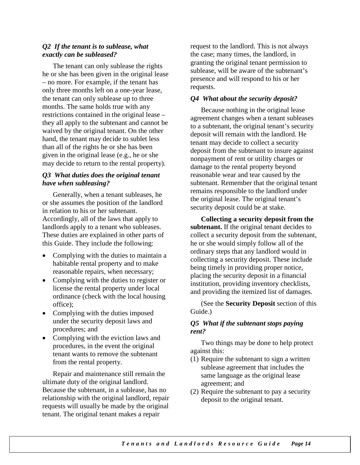#### *Q2 If the tenant is to sublease, what exactly can be subleased?*

The tenant can only sublease the rights he or she has been given in the original lease – no more. For example, if the tenant has only three months left on a one-year lease, the tenant can only sublease up to three months. The same holds true with any restrictions contained in the original lease – they all apply to the subtenant and cannot be waived by the original tenant. On the other hand, the tenant may decide to sublet less than all of the rights he or she has been given in the original lease (e.g., he or she may decide to return to the rental property).

#### *Q3 What duties does the original tenant have when subleasing?*

Generally, when a tenant subleases, he or she assumes the position of the landlord in relation to his or her subtenant. Accordingly, all of the laws that apply to landlords apply to a tenant who subleases. These duties are explained in other parts of this Guide. They include the following:

- Complying with the duties to maintain a habitable rental property and to make reasonable repairs, when necessary;
- Complying with the duties to register or license the rental property under local ordinance (check with the local housing office);
- Complying with the duties imposed under the security deposit laws and procedures; and
- Complying with the eviction laws and procedures, in the event the original tenant wants to remove the subtenant from the rental property.

Repair and maintenance still remain the ultimate duty of the original landlord. Because the subtenant, in a sublease, has no relationship with the original landlord, repair requests will usually be made by the original tenant. The original tenant makes a repair

request to the landlord. This is not always the case; many times, the landlord, in granting the original tenant permission to sublease, will be aware of the subtenant's presence and will respond to his or her requests.

#### *Q4 What about the security deposit?*

Because nothing in the original lease agreement changes when a tenant subleases to a subtenant, the original tenant's security deposit will remain with the landlord. He tenant may decide to collect a security deposit from the subtenant to insure against nonpayment of rent or utility charges or damage to the rental property beyond reasonable wear and tear caused by the subtenant. Remember that the original tenant remains responsible to the landlord under the original lease. The original tenant's security deposit could be at stake.

**Collecting a security deposit from the subtenant.** If the original tenant decides to collect a security deposit from the subtenant, he or she would simply follow all of the ordinary steps that any landlord would in collecting a security deposit. These include being timely in providing proper notice, placing the security deposit in a financial institution, providing inventory checklists, and providing the itemized list of damages.

(See the **Security Deposit** section of this Guide.)

#### *Q5 What if the subtenant stops paying rent?*

Two things may be done to help protect against this:

- (1) Require the subtenant to sign a written sublease agreement that includes the same language as the original lease agreement; and
- (2) Require the subtenant to pay a security deposit to the original tenant.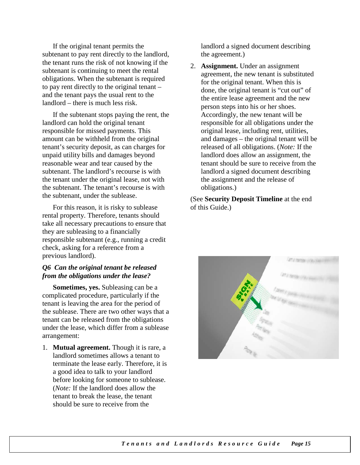If the original tenant permits the subtenant to pay rent directly to the landlord, the tenant runs the risk of not knowing if the subtenant is continuing to meet the rental obligations. When the subtenant is required to pay rent directly to the original tenant – and the tenant pays the usual rent to the landlord – there is much less risk.

If the subtenant stops paying the rent, the landlord can hold the original tenant responsible for missed payments. This amount can be withheld from the original tenant's security deposit, as can charges for unpaid utility bills and damages beyond reasonable wear and tear caused by the subtenant. The landlord's recourse is with the tenant under the original lease, not with the subtenant. The tenant's recourse is with the subtenant, under the sublease.

For this reason, it is risky to sublease rental property. Therefore, tenants should take all necessary precautions to ensure that they are subleasing to a financially responsible subtenant (e.g., running a credit check, asking for a reference from a previous landlord).

#### *Q6 Can the original tenant be released from the obligations under the lease?*

**Sometimes, yes.** Subleasing can be a complicated procedure, particularly if the tenant is leaving the area for the period of the sublease. There are two other ways that a tenant can be released from the obligations under the lease, which differ from a sublease arrangement:

1. **Mutual agreement.** Though it is rare, a landlord sometimes allows a tenant to terminate the lease early. Therefore, it is a good idea to talk to your landlord before looking for someone to sublease. (*Note:* If the landlord does allow the tenant to break the lease, the tenant should be sure to receive from the

landlord a signed document describing the agreement.)

2. **Assignment.** Under an assignment agreement, the new tenant is substituted for the original tenant. When this is done, the original tenant is "cut out" of the entire lease agreement and the new person steps into his or her shoes. Accordingly, the new tenant will be responsible for all obligations under the original lease, including rent, utilities, and damages – the original tenant will be released of all obligations. (*Note:* If the landlord does allow an assignment, the tenant should be sure to receive from the landlord a signed document describing the assignment and the release of obligations.)

(See **Security Deposit Timeline** at the end of this Guide.)

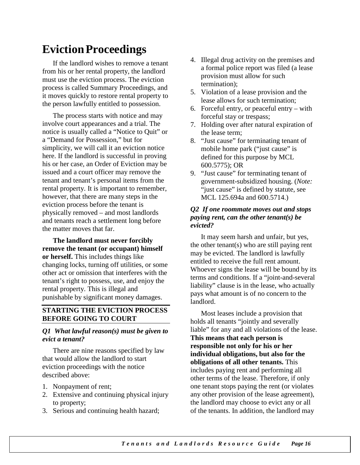### **EvictionProceedings**

If the landlord wishes to remove a tenant from his or her rental property, the landlord must use the eviction process. The eviction process is called Summary Proceedings, and it moves quickly to restore rental property to the person lawfully entitled to possession.

The process starts with notice and may involve court appearances and a trial. The notice is usually called a "Notice to Quit" or a "Demand for Possession," but for simplicity, we will call it an eviction notice here. If the landlord is successful in proving his or her case, an Order of Eviction may be issued and a court officer may remove the tenant and tenant's personal items from the rental property. It is important to remember, however, that there are many steps in the eviction process before the tenant is physically removed – and most landlords and tenants reach a settlement long before the matter moves that far.

**The landlord must never forcibly remove the tenant (or occupant) himself or herself.** This includes things like changing locks, turning off utilities, or some other act or omission that interferes with the tenant's right to possess, use, and enjoy the rental property. This is illegal and punishable by significant money damages.

#### **STARTING THE EVICTION PROCESS BEFORE GOING TO COURT**

#### *Q1 What lawful reason(s) must be given to evict a tenant?*

There are nine reasons specified by law that would allow the landlord to start eviction proceedings with the notice described above:

- 1. Nonpayment of rent;
- 2. Extensive and continuing physical injury to property;
- 3. Serious and continuing health hazard;
- 4. Illegal drug activity on the premises and a formal police report was filed (a lease provision must allow for such termination);
- 5. Violation of a lease provision and the lease allows for such termination;
- 6. Forceful entry, or peaceful entry with forceful stay or trespass;
- 7. Holding over after natural expiration of the lease term;
- 8. "Just cause" for terminating tenant of mobile home park ("just cause" is defined for this purpose by MCL 600.5775); OR
- 9. "Just cause" for terminating tenant of government-subsidized housing. (*Note:* "just cause" is defined by statute, see MCL 125.694a and 600.5714.)

#### *Q2 If one roommate moves out and stops paying rent, can the other tenant(s) be evicted?*

It may seem harsh and unfair, but yes, the other tenant(s) who are still paying rent may be evicted. The landlord is lawfully entitled to receive the full rent amount. Whoever signs the lease will be bound by its terms and conditions. If a "joint-and-several liability" clause is in the lease, who actually pays what amount is of no concern to the landlord.

Most leases include a provision that holds all tenants "jointly and severally liable" for any and all violations of the lease. **This means that each person is responsible not only for his or her individual obligations, but also for the obligations of all other tenants.** This includes paying rent and performing all other terms of the lease. Therefore, if only one tenant stops paying the rent (or violates any other provision of the lease agreement), the landlord may choose to evict any or all of the tenants. In addition, the landlord may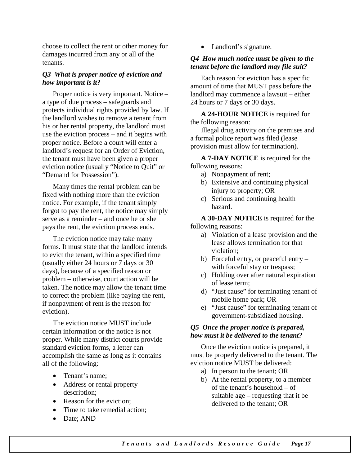choose to collect the rent or other money for damages incurred from any or all of the tenants.

#### *Q3 What is proper notice of eviction and how important is it?*

Proper notice is very important. Notice – a type of due process – safeguards and protects individual rights provided by law. If the landlord wishes to remove a tenant from his or her rental property, the landlord must use the eviction process – and it begins with proper notice. Before a court will enter a landlord's request for an Order of Eviction, the tenant must have been given a proper eviction notice (usually "Notice to Quit" or "Demand for Possession").

Many times the rental problem can be fixed with nothing more than the eviction notice. For example, if the tenant simply forgot to pay the rent, the notice may simply serve as a reminder – and once he or she pays the rent, the eviction process ends.

The eviction notice may take many forms. It must state that the landlord intends to evict the tenant, within a specified time (usually either 24 hours or 7 days or 30 days), because of a specified reason or problem – otherwise, court action will be taken. The notice may allow the tenant time to correct the problem (like paying the rent, if nonpayment of rent is the reason for eviction).

The eviction notice MUST include certain information or the notice is not proper. While many district courts provide standard eviction forms, a letter can accomplish the same as long as it contains all of the following:

- Tenant's name:
- Address or rental property description;
- Reason for the eviction:
- Time to take remedial action;
- Date; AND

• Landlord's signature.

#### *Q4 How much notice must be given to the tenant before the landlord may file suit?*

Each reason for eviction has a specific amount of time that MUST pass before the landlord may commence a lawsuit – either 24 hours or 7 days or 30 days.

**A 24-HOUR NOTICE** is required for the following reason:

Illegal drug activity on the premises and a formal police report was filed (lease provision must allow for termination).

**A 7-DAY NOTICE** is required for the following reasons:

- a) Nonpayment of rent;
- b) Extensive and continuing physical injury to property; OR
- c) Serious and continuing health hazard.

**A 30-DAY NOTICE** is required for the following reasons:

- a) Violation of a lease provision and the lease allows termination for that violation;
- b) Forceful entry, or peaceful entry with forceful stay or trespass;
- c) Holding over after natural expiration of lease term;
- d) "Just cause" for terminating tenant of mobile home park; OR
- e) "Just cause" for terminating tenant of government-subsidized housing.

#### *Q5 Once the proper notice is prepared, how must it be delivered to the tenant?*

Once the eviction notice is prepared, it must be properly delivered to the tenant. The eviction notice MUST be delivered:

- a) In person to the tenant; OR
- b) At the rental property, to a member of the tenant's household – of suitable age – requesting that it be delivered to the tenant; OR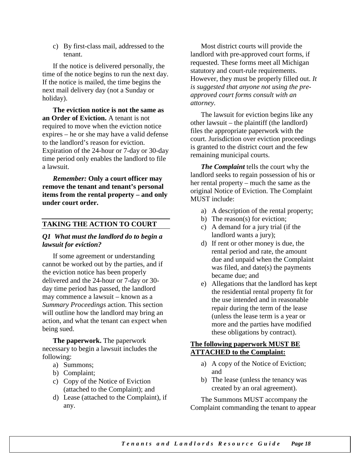c) By first-class mail, addressed to the tenant.

If the notice is delivered personally, the time of the notice begins to run the next day. If the notice is mailed, the time begins the next mail delivery day (not a Sunday or holiday).

**The eviction notice is not the same as an Order of Eviction.** A tenant is not required to move when the eviction notice expires – he or she may have a valid defense to the landlord's reason for eviction. Expiration of the 24-hour or 7-day or 30-day time period only enables the landlord to file a lawsuit.

*Remember:* **Only a court officer may remove the tenant and tenant's personal items from the rental property – and only under court order.**

#### **TAKING THE ACTION TO COURT**

#### *Q1 What must the landlord do to begin a lawsuit for eviction?*

If some agreement or understanding cannot be worked out by the parties, and if the eviction notice has been properly delivered and the 24-hour or 7-day or 30 day time period has passed, the landlord may commence a lawsuit – known as a *Summary Proceedings* action. This section will outline how the landlord may bring an action, and what the tenant can expect when being sued.

**The paperwork.** The paperwork necessary to begin a lawsuit includes the following:

- a) Summons;
- b) Complaint;
- c) Copy of the Notice of Eviction (attached to the Complaint); and
- d) Lease (attached to the Complaint), if any.

Most district courts will provide the landlord with pre-approved court forms, if requested. These forms meet all Michigan statutory and court-rule requirements. However, they must be properly filled out. *It is suggested that anyone not using the preapproved court forms consult with an attorney.*

The lawsuit for eviction begins like any other lawsuit – the plaintiff (the landlord) files the appropriate paperwork with the court. Jurisdiction over eviction proceedings is granted to the district court and the few remaining municipal courts.

*The Complaint* tells the court why the landlord seeks to regain possession of his or her rental property – much the same as the original Notice of Eviction. The Complaint MUST include:

- a) A description of the rental property;
- b) The reason(s) for eviction;
- c) A demand for a jury trial (if the landlord wants a jury);
- d) If rent or other money is due, the rental period and rate, the amount due and unpaid when the Complaint was filed, and date(s) the payments became due; and
- e) Allegations that the landlord has kept the residential rental property fit for the use intended and in reasonable repair during the term of the lease (unless the lease term is a year or more and the parties have modified these obligations by contract).

#### **The following paperwork MUST BE ATTACHED to the Complaint:**

- a) A copy of the Notice of Eviction; and
- b) The lease (unless the tenancy was created by an oral agreement).

The Summons MUST accompany the Complaint commanding the tenant to appear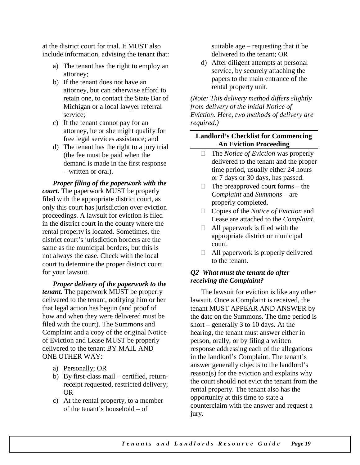at the district court for trial. It MUST also include information, advising the tenant that:

- a) The tenant has the right to employ an attorney;
- b) If the tenant does not have an attorney, but can otherwise afford to retain one, to contact the State Bar of Michigan or a local lawyer referral service;
- c) If the tenant cannot pay for an attorney, he or she might qualify for free legal services assistance; and
- d) The tenant has the right to a jury trial (the fee must be paid when the demand is made in the first response – written or oral).

*Proper filing of the paperwork with the court.* The paperwork MUST be properly filed with the appropriate district court, as only this court has jurisdiction over eviction proceedings. A lawsuit for eviction is filed in the district court in the county where the rental property is located. Sometimes, the district court's jurisdiction borders are the same as the municipal borders, but this is not always the case. Check with the local court to determine the proper district court for your lawsuit.

*Proper delivery of the paperwork to the tenant.* The paperwork MUST be properly delivered to the tenant, notifying him or her that legal action has begun (and proof of how and when they were delivered must be filed with the court). The Summons and Complaint and a copy of the original Notice of Eviction and Lease MUST be properly delivered to the tenant BY MAIL AND ONE OTHER WAY:

- a) Personally; OR
- b) By first-class mail certified, returnreceipt requested, restricted delivery; OR
- c) At the rental property, to a member of the tenant's household – of

suitable age – requesting that it be delivered to the tenant; OR

d) After diligent attempts at personal service, by securely attaching the papers to the main entrance of the rental property unit.

*(Note: This delivery method differs slightly from delivery of the initial Notice of Eviction. Here, two methods of delivery are required.)*

#### **Landlord's Checklist for Commencing An Eviction Proceeding**

- The *Notice of Eviction* was properly delivered to the tenant and the proper time period, usually either 24 hours or 7 days or 30 days, has passed.
- $\Box$  The preapproved court forms the *Complaint* and *Summons* – are properly completed.
- Copies of the *Notice of Eviction* and Lease are attached to the *Complaint*.
- $\Box$  All paperwork is filed with the appropriate district or municipal court.
- $\Box$  All paperwork is properly delivered to the tenant.

#### *Q2 What must the tenant do after receiving the Complaint?*

The lawsuit for eviction is like any other lawsuit. Once a Complaint is received, the tenant MUST APPEAR AND ANSWER by the date on the Summons. The time period is short – generally 3 to 10 days. At the hearing, the tenant must answer either in person, orally, or by filing a written response addressing each of the allegations in the landlord's Complaint. The tenant's answer generally objects to the landlord's reason(s) for the eviction and explains why the court should not evict the tenant from the rental property. The tenant also has the opportunity at this time to state a counterclaim with the answer and request a jury.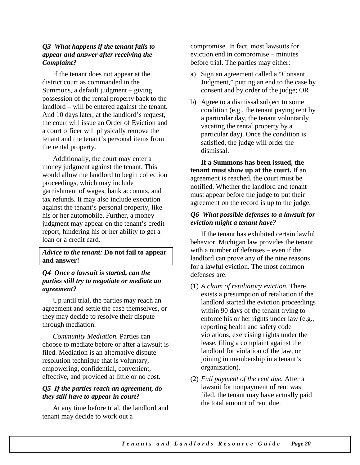#### *Q3 What happens if the tenant fails to appear and answer after receiving the Complaint?*

If the tenant does not appear at the district court as commanded in the Summons, a default judgment – giving possession of the rental property back to the landlord – will be entered against the tenant. And 10 days later, at the landlord's request, the court will issue an Order of Eviction and a court officer will physically remove the tenant and the tenant's personal items from the rental property.

Additionally, the court may enter a money judgment against the tenant. This would allow the landlord to begin collection proceedings, which may include garnishment of wages, bank accounts, and tax refunds. It may also include execution against the tenant's personal property, like his or her automobile. Further, a money judgment may appear on the tenant's credit report, hindering his or her ability to get a loan or a credit card.

#### *Advice to the tenant:* **Do not fail to appear and answer!**

#### *Q4 Once a lawsuit is started, can the parties still try to negotiate or mediate an agreement?*

Up until trial, the parties may reach an agreement and settle the case themselves, or they may decide to resolve their dispute through mediation.

*Community Mediation.* Parties can choose to mediate before or after a lawsuit is filed. Mediation is an alternative dispute resolution technique that is voluntary, empowering, confidential, convenient, effective, and provided at little or no cost.

#### *Q5 If the parties reach an agreement, do they still have to appear in court?*

At any time before trial, the landlord and tenant may decide to work out a

compromise. In fact, most lawsuits for eviction end in compromise – minutes before trial. The parties may either:

- a) Sign an agreement called a "Consent Judgment," putting an end to the case by consent and by order of the judge; OR
- b) Agree to a dismissal subject to some condition (e.g., the tenant paying rent by a particular day, the tenant voluntarily vacating the rental property by a particular day). Once the condition is satisfied, the judge will order the dismissal.

**If a Summons has been issued, the tenant must show up at the court.** If an agreement is reached, the court must be notified. Whether the landlord and tenant must appear before the judge to put their agreement on the record is up to the judge.

#### *Q6 What possible defenses to a lawsuit for eviction might a tenant have?*

If the tenant has exhibited certain lawful behavior, Michigan law provides the tenant with a number of defenses – even if the landlord can prove any of the nine reasons for a lawful eviction. The most common defenses are:

- (1) *A claim of retaliatory eviction.* There exists a presumption of retaliation if the landlord started the eviction proceedings within 90 days of the tenant trying to enforce his or her rights under law (e.g., reporting health and safety code violations, exercising rights under the lease, filing a complaint against the landlord for violation of the law, or joining in membership in a tenant's organization).
- (2) *Full payment of the rent due.* After a lawsuit for nonpayment of rent was filed, the tenant may have actually paid the total amount of rent due.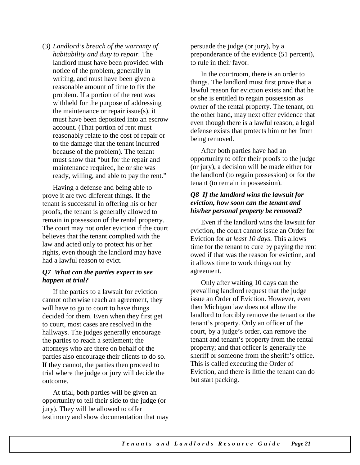(3) *Landlord's breach of the warranty of habitability and duty to repair.* The landlord must have been provided with notice of the problem, generally in writing, and must have been given a reasonable amount of time to fix the problem. If a portion of the rent was withheld for the purpose of addressing the maintenance or repair issue(s), it must have been deposited into an escrow account. (That portion of rent must reasonably relate to the cost of repair or to the damage that the tenant incurred because of the problem). The tenant must show that "but for the repair and maintenance required, he or she was ready, willing, and able to pay the rent."

Having a defense and being able to prove it are two different things. If the tenant is successful in offering his or her proofs, the tenant is generally allowed to remain in possession of the rental property. The court may not order eviction if the court believes that the tenant complied with the law and acted only to protect his or her rights, even though the landlord may have had a lawful reason to evict.

#### *Q7 What can the parties expect to see happen at trial?*

If the parties to a lawsuit for eviction cannot otherwise reach an agreement, they will have to go to court to have things decided for them. Even when they first get to court, most cases are resolved in the hallways. The judges generally encourage the parties to reach a settlement; the attorneys who are there on behalf of the parties also encourage their clients to do so. If they cannot, the parties then proceed to trial where the judge or jury will decide the outcome.

At trial, both parties will be given an opportunity to tell their side to the judge (or jury). They will be allowed to offer testimony and show documentation that may persuade the judge (or jury), by a preponderance of the evidence (51 percent), to rule in their favor.

In the courtroom, there is an order to things. The landlord must first prove that a lawful reason for eviction exists and that he or she is entitled to regain possession as owner of the rental property. The tenant, on the other hand, may next offer evidence that even though there is a lawful reason, a legal defense exists that protects him or her from being removed.

After both parties have had an opportunity to offer their proofs to the judge (or jury), a decision will be made either for the landlord (to regain possession) or for the tenant (to remain in possession).

#### *Q8 If the landlord wins the lawsuit for eviction, how soon can the tenant and his/her personal property be removed?*

Even if the landlord wins the lawsuit for eviction, the court cannot issue an Order for Eviction for *at least 10 days*. This allows time for the tenant to cure by paying the rent owed if that was the reason for eviction, and it allows time to work things out by agreement.

Only after waiting 10 days can the prevailing landlord request that the judge issue an Order of Eviction. However, even then Michigan law does not allow the landlord to forcibly remove the tenant or the tenant's property. Only an officer of the court, by a judge's order, can remove the tenant and tenant's property from the rental property; and that officer is generally the sheriff or someone from the sheriff's office. This is called executing the Order of Eviction, and there is little the tenant can do but start packing.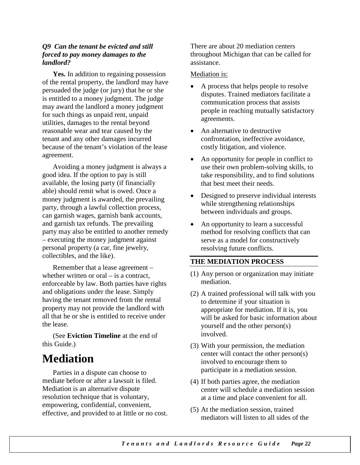#### *Q9 Can the tenant be evicted and still forced to pay money damages to the landlord?*

**Yes.** In addition to regaining possession of the rental property, the landlord may have persuaded the judge (or jury) that he or she is entitled to a money judgment. The judge may award the landlord a money judgment for such things as unpaid rent, unpaid utilities, damages to the rental beyond reasonable wear and tear caused by the tenant and any other damages incurred because of the tenant's violation of the lease agreement.

Avoiding a money judgment is always a good idea. If the option to pay is still available, the losing party (if financially able) should remit what is owed. Once a money judgment is awarded, the prevailing party, through a lawful collection process, can garnish wages, garnish bank accounts, and garnish tax refunds. The prevailing party may also be entitled to another remedy – executing the money judgment against personal property (a car, fine jewelry, collectibles, and the like).

Remember that a lease agreement – whether written or oral – is a contract. enforceable by law. Both parties have rights and obligations under the lease. Simply having the tenant removed from the rental property may not provide the landlord with all that he or she is entitled to receive under the lease.

(See **Eviction Timeline** at the end of this Guide.)

## **Mediation**

Parties in a dispute can choose to mediate before or after a lawsuit is filed. Mediation is an alternative dispute resolution technique that is voluntary, empowering, confidential, convenient, effective, and provided to at little or no cost. There are about 20 mediation centers throughout Michigan that can be called for assistance.

#### Mediation is:

- A process that helps people to resolve disputes. Trained mediators facilitate a communication process that assists people in reaching mutually satisfactory agreements.
- An alternative to destructive confrontation, ineffective avoidance, costly litigation, and violence.
- An opportunity for people in conflict to use their own problem-solving skills, to take responsibility, and to find solutions that best meet their needs.
- Designed to preserve individual interests while strengthening relationships between individuals and groups.
- An opportunity to learn a successful method for resolving conflicts that can serve as a model for constructively resolving future conflicts.

#### **THE MEDIATION PROCESS**

- (1) Any person or organization may initiate mediation.
- (2) A trained professional will talk with you to determine if your situation is appropriate for mediation. If it is, you will be asked for basic information about yourself and the other person(s) involved.
- (3) With your permission, the mediation center will contact the other person(s) involved to encourage them to participate in a mediation session.
- (4) If both parties agree, the mediation center will schedule a mediation session at a time and place convenient for all.
- (5) At the mediation session, trained mediators will listen to all sides of the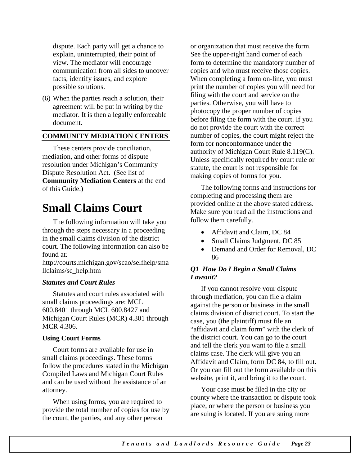dispute. Each party will get a chance to explain, uninterrupted, their point of view. The mediator will encourage communication from all sides to uncover facts, identify issues, and explore possible solutions.

(6) When the parties reach a solution, their agreement will be put in writing by the mediator. It is then a legally enforceable document.

#### **COMMUNITY MEDIATION CENTERS**

These centers provide conciliation, mediation, and other forms of dispute resolution under Michigan's Community Dispute Resolution Act. (See list of **Community Mediation Centers** at the end of this Guide.)

### **Small Claims Court**

The following information will take you through the steps necessary in a proceeding in the small claims division of the district court. The following information can also be found at*:* 

http://courts.michigan.gov/scao/selfhelp/sma llclaims/sc\_help.htm

#### *Statutes and Court Rules*

Statutes and court rules associated with small claims proceedings are: MCL 600.8401 through MCL 600.8427 and Michigan Court Rules (MCR) 4.301 through MCR 4.306.

#### **Using Court Forms**

Court forms are available for use in small claims proceedings. These forms follow the procedures stated in the Michigan Compiled Laws and Michigan Court Rules and can be used without the assistance of an attorney.

When using forms, you are required to provide the total number of copies for use by the court, the parties, and any other person

or organization that must receive the form. See the upper-right hand corner of each form to determine the mandatory number of copies and who must receive those copies. When completing a form on-line, you must print the number of copies you will need for filing with the court and service on the parties. Otherwise, you will have to photocopy the proper number of copies before filing the form with the court. If you do not provide the court with the correct number of copies, the court might reject the form for nonconformance under the authority of Michigan Court Rule 8.119(C). Unless specifically required by court rule or statute, the court is not responsible for making copies of forms for you.

The following forms and instructions for completing and processing them are provided online at the above stated address. Make sure you read all the instructions and follow them carefully.

- Affidavit and Claim, DC 84
- Small Claims Judgment, DC 85
- Demand and Order for Removal, DC 86

#### *Q1 How Do I Begin a Small Claims Lawsuit?*

If you cannot resolve your dispute through mediation, you can file a claim against the person or business in the small claims division of district court. To start the case, you (the plaintiff) must file an "affidavit and claim form" with the clerk of the district court. You can go to the court and tell the clerk you want to file a small claims case. The clerk will give you an Affidavit and Claim, form DC 84, to fill out. Or you can fill out the form available on this website, print it, and bring it to the court.

Your case must be filed in the city or county where the transaction or dispute took place, or where the person or business you are suing is located. If you are suing more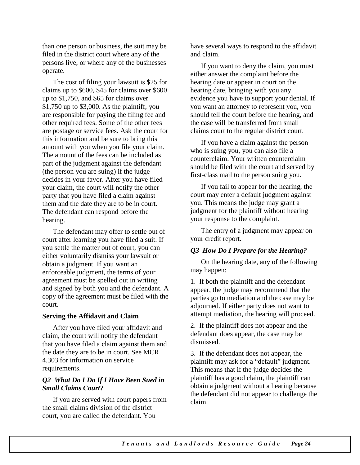than one person or business, the suit may be filed in the district court where any of the persons live, or where any of the businesses operate.

The cost of filing your lawsuit is \$25 for claims up to \$600, \$45 for claims over \$600 up to \$1,750, and \$65 for claims over \$1,750 up to \$3,000. As the plaintiff, you are responsible for paying the filing fee and other required fees. Some of the other fees are postage or service fees. Ask the court for this information and be sure to bring this amount with you when you file your claim. The amount of the fees can be included as part of the judgment against the defendant (the person you are suing) if the judge decides in your favor. After you have filed your claim, the court will notify the other party that you have filed a claim against them and the date they are to be in court. The defendant can respond before the hearing.

The defendant may offer to settle out of court after learning you have filed a suit. If you settle the matter out of court, you can either voluntarily dismiss your lawsuit or obtain a judgment. If you want an enforceable judgment, the terms of your agreement must be spelled out in writing and signed by both you and the defendant. A copy of the agreement must be filed with the court.

#### **Serving the Affidavit and Claim**

After you have filed your affidavit and claim, the court will notify the defendant that you have filed a claim against them and the date they are to be in court. See MCR 4.303 for information on service requirements.

#### *Q2 What Do I Do If I Have Been Sued in Small Claims Court?*

If you are served with court papers from the small claims division of the district court, you are called the defendant. You

have several ways to respond to the affidavit and claim.

If you want to deny the claim, you must either answer the complaint before the hearing date or appear in court on the hearing date, bringing with you any evidence you have to support your denial. If you want an attorney to represent you, you should tell the court before the hearing, and the case will be transferred from small claims court to the regular district court.

If you have a claim against the person who is suing you, you can also file a counterclaim. Your written counterclaim should be filed with the court and served by first-class mail to the person suing you.

If you fail to appear for the hearing, the court may enter a default judgment against you. This means the judge may grant a judgment for the plaintiff without hearing your response to the complaint.

The entry of a judgment may appear on your credit report.

#### *Q3 How Do I Prepare for the Hearing?*

On the hearing date, any of the following may happen:

1. If both the plaintiff and the defendant appear, the judge may recommend that the parties go to mediation and the case may be adjourned. If either party does not want to attempt mediation, the hearing will proceed.

2. If the plaintiff does not appear and the defendant does appear, the case may be dismissed.

3. If the defendant does not appear, the plaintiff may ask for a "default" judgment. This means that if the judge decides the plaintiff has a good claim, the plaintiff can obtain a judgment without a hearing because the defendant did not appear to challenge the claim.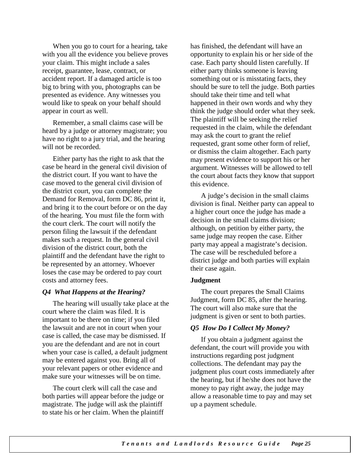When you go to court for a hearing, take with you all the evidence you believe proves your claim. This might include a sales receipt, guarantee, lease, contract, or accident report. If a damaged article is too big to bring with you, photographs can be presented as evidence. Any witnesses you would like to speak on your behalf should appear in court as well.

Remember, a small claims case will be heard by a judge or attorney magistrate; you have no right to a jury trial, and the hearing will not be recorded.

Either party has the right to ask that the case be heard in the general civil division of the district court. If you want to have the case moved to the general civil division of the district court, you can complete the Demand for Removal, form DC 86, print it, and bring it to the court before or on the day of the hearing. You must file the form with the court clerk. The court will notify the person filing the lawsuit if the defendant makes such a request. In the general civil division of the district court, both the plaintiff and the defendant have the right to be represented by an attorney. Whoever loses the case may be ordered to pay court costs and attorney fees.

#### *Q4 What Happens at the Hearing?*

The hearing will usually take place at the court where the claim was filed. It is important to be there on time; if you filed the lawsuit and are not in court when your case is called, the case may be dismissed. If you are the defendant and are not in court when your case is called, a default judgment may be entered against you. Bring all of your relevant papers or other evidence and make sure your witnesses will be on time.

The court clerk will call the case and both parties will appear before the judge or magistrate. The judge will ask the plaintiff to state his or her claim. When the plaintiff has finished, the defendant will have an opportunity to explain his or her side of the case. Each party should listen carefully. If either party thinks someone is leaving something out or is misstating facts, they should be sure to tell the judge. Both parties should take their time and tell what happened in their own words and why they think the judge should order what they seek. The plaintiff will be seeking the relief requested in the claim, while the defendant may ask the court to grant the relief requested, grant some other form of relief, or dismiss the claim altogether. Each party may present evidence to support his or her argument. Witnesses will be allowed to tell the court about facts they know that support this evidence.

A judge's decision in the small claims division is final. Neither party can appeal to a higher court once the judge has made a decision in the small claims division; although, on petition by either party, the same judge may reopen the case. Either party may appeal a magistrate's decision. The case will be rescheduled before a district judge and both parties will explain their case again.

#### **Judgment**

The court prepares the Small Claims Judgment, form DC 85, after the hearing. The court will also make sure that the judgment is given or sent to both parties.

#### *Q5 How Do I Collect My Money?*

If you obtain a judgment against the defendant, the court will provide you with instructions regarding post judgment collections. The defendant may pay the judgment plus court costs immediately after the hearing, but if he/she does not have the money to pay right away, the judge may allow a reasonable time to pay and may set up a payment schedule.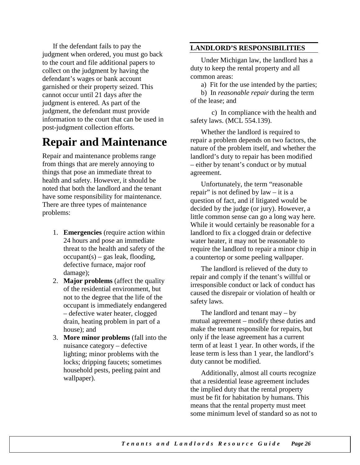If the defendant fails to pay the judgment when ordered, you must go back to the court and file additional papers to collect on the judgment by having the defendant's wages or bank account garnished or their property seized. This cannot occur until 21 days after the judgment is entered. As part of the judgment, the defendant must provide information to the court that can be used in post-judgment collection efforts.

## **Repair and Maintenance**

Repair and maintenance problems range from things that are merely annoying to things that pose an immediate threat to health and safety. However, it should be noted that both the landlord and the tenant have some responsibility for maintenance. There are three types of maintenance problems:

- 1. **Emergencies** (require action within 24 hours and pose an immediate threat to the health and safety of the  $occupant(s) - gas$  leak, flooding, defective furnace, major roof damage);
- 2. **Major problems** (affect the quality of the residential environment, but not to the degree that the life of the occupant is immediately endangered – defective water heater, clogged drain, heating problem in part of a house); and
- 3. **More minor problems** (fall into the nuisance category – defective lighting; minor problems with the locks; dripping faucets; sometimes household pests, peeling paint and wallpaper).

#### **LANDLORD'S RESPONSIBILITIES**

Under Michigan law, the landlord has a duty to keep the rental property and all common areas:

a) Fit for the use intended by the parties;

b) In *reasonable repair* during the term of the lease; and

c) In compliance with the health and safety laws. (MCL 554.139).

Whether the landlord is required to repair a problem depends on two factors, the nature of the problem itself, and whether the landlord's duty to repair has been modified – either by tenant's conduct or by mutual agreement.

Unfortunately, the term "reasonable repair" is not defined by law – it is a question of fact, and if litigated would be decided by the judge (or jury). However, a little common sense can go a long way here. While it would certainly be reasonable for a landlord to fix a clogged drain or defective water heater, it may not be reasonable to require the landlord to repair a minor chip in a countertop or some peeling wallpaper.

The landlord is relieved of the duty to repair and comply if the tenant's willful or irresponsible conduct or lack of conduct has caused the disrepair or violation of health or safety laws.

The landlord and tenant may – by mutual agreement – modify these duties and make the tenant responsible for repairs, but only if the lease agreement has a current term of at least 1 year. In other words, if the lease term is less than 1 year, the landlord's duty cannot be modified.

Additionally, almost all courts recognize that a residential lease agreement includes the implied duty that the rental property must be fit for habitation by humans. This means that the rental property must meet some minimum level of standard so as not to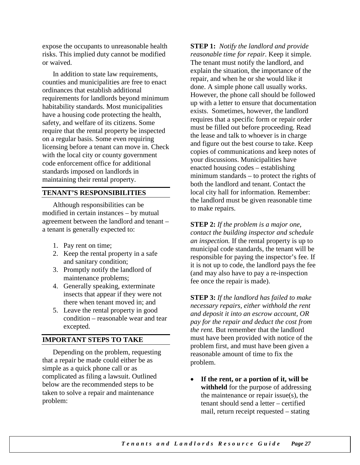expose the occupants to unreasonable health risks. This implied duty cannot be modified or waived.

In addition to state law requirements, counties and municipalities are free to enact ordinances that establish additional requirements for landlords beyond minimum habitability standards. Most municipalities have a housing code protecting the health, safety, and welfare of its citizens. Some require that the rental property be inspected on a regular basis. Some even requiring licensing before a tenant can move in. Check with the local city or county government code enforcement office for additional standards imposed on landlords in maintaining their rental property.

#### **TENANT'S RESPONSIBILITIES**

Although responsibilities can be modified in certain instances – by mutual agreement between the landlord and tenant – a tenant is generally expected to:

- 1. Pay rent on time;
- 2. Keep the rental property in a safe and sanitary condition;
- 3. Promptly notify the landlord of maintenance problems;
- 4. Generally speaking, exterminate insects that appear if they were not there when tenant moved in; and
- 5. Leave the rental property in good condition – reasonable wear and tear excepted.

#### **IMPORTANT STEPS TO TAKE**

Depending on the problem, requesting that a repair be made could either be as simple as a quick phone call or as complicated as filing a lawsuit. Outlined below are the recommended steps to be taken to solve a repair and maintenance problem:

**STEP 1:** *Notify the landlord and provide reasonable time for repair.* Keep it simple. The tenant must notify the landlord, and explain the situation, the importance of the repair, and when he or she would like it done. A simple phone call usually works. However, the phone call should be followed up with a letter to ensure that documentation exists. Sometimes, however, the landlord requires that a specific form or repair order must be filled out before proceeding. Read the lease and talk to whoever is in charge and figure out the best course to take. Keep copies of communications and keep notes of your discussions. Municipalities have enacted housing codes – establishing minimum standards – to protect the rights of both the landlord and tenant. Contact the local city hall for information. Remember: the landlord must be given reasonable time to make repairs.

**STEP 2:** *If the problem is a major one, contact the building inspector and schedule an inspection.* If the rental property is up to municipal code standards, the tenant will be responsible for paying the inspector's fee. If it is not up to code, the landlord pays the fee (and may also have to pay a re-inspection fee once the repair is made).

**STEP 3:** *If the landlord has failed to make necessary repairs, either withhold the rent and deposit it into an escrow account, OR pay for the repair and deduct the cost from the rent.* But remember that the landlord must have been provided with notice of the problem first, and must have been given a reasonable amount of time to fix the problem.

• **If the rent, or a portion of it, will be withheld** for the purpose of addressing the maintenance or repair issue(s), the tenant should send a letter – certified mail, return receipt requested – stating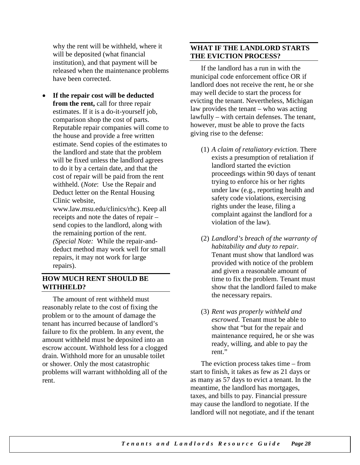why the rent will be withheld, where it will be deposited (what financial institution), and that payment will be released when the maintenance problems have been corrected.

• **If the repair cost will be deducted from the rent,** call for three repair estimates. If it is a do-it-yourself job, comparison shop the cost of parts. Reputable repair companies will come to the house and provide a free written estimate. Send copies of the estimates to the landlord and state that the problem will be fixed unless the landlord agrees to do it by a certain date, and that the cost of repair will be paid from the rent withheld. (*Note*: Use the Repair and Deduct letter on the Rental Housing Clinic website,

www.law.msu.edu/clinics/rhc). Keep all receipts and note the dates of repair – send copies to the landlord, along with the remaining portion of the rent. *(Special Note:* While the repair-anddeduct method may work well for small repairs, it may not work for large repairs).

#### **HOW MUCH RENT SHOULD BE WITHHELD?**

The amount of rent withheld must reasonably relate to the cost of fixing the problem or to the amount of damage the tenant has incurred because of landlord's failure to fix the problem. In any event, the amount withheld must be deposited into an escrow account. Withhold less for a clogged drain. Withhold more for an unusable toilet or shower. Only the most catastrophic problems will warrant withholding all of the rent.

#### **WHAT IF THE LANDLORD STARTS THE EVICTION PROCESS?**

If the landlord has a run in with the municipal code enforcement office OR if landlord does not receive the rent, he or she may well decide to start the process for evicting the tenant. Nevertheless, Michigan law provides the tenant – who was acting lawfully – with certain defenses. The tenant, however, must be able to prove the facts giving rise to the defense:

- (1) *A claim of retaliatory eviction.* There exists a presumption of retaliation if landlord started the eviction proceedings within 90 days of tenant trying to enforce his or her rights under law (e.g., reporting health and safety code violations, exercising rights under the lease, filing a complaint against the landlord for a violation of the law).
- (2) *Landlord's breach of the warranty of habitability and duty to repair.*  Tenant must show that landlord was provided with notice of the problem and given a reasonable amount of time to fix the problem. Tenant must show that the landlord failed to make the necessary repairs.
- (3) *Rent was properly withheld and escrowed.* Tenant must be able to show that "but for the repair and maintenance required, he or she was ready, willing, and able to pay the rent."

The eviction process takes time – from start to finish, it takes as few as 21 days or as many as 57 days to evict a tenant. In the meantime, the landlord has mortgages, taxes, and bills to pay. Financial pressure may cause the landlord to negotiate. If the landlord will not negotiate, and if the tenant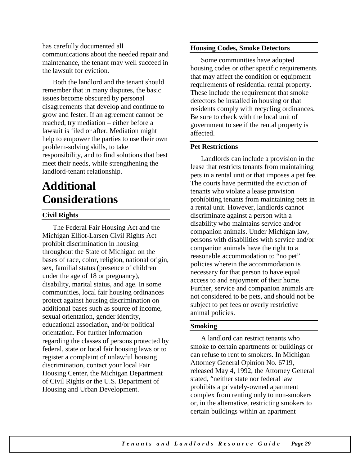has carefully documented all communications about the needed repair and maintenance, the tenant may well succeed in the lawsuit for eviction.

Both the landlord and the tenant should remember that in many disputes, the basic issues become obscured by personal disagreements that develop and continue to grow and fester. If an agreement cannot be reached, try mediation – either before a lawsuit is filed or after. Mediation might help to empower the parties to use their own problem-solving skills, to take responsibility, and to find solutions that best meet their needs, while strengthening the landlord-tenant relationship.

# **Additional Considerations**

#### **Civil Rights**

The Federal Fair Housing Act and the Michigan Elliot-Larsen Civil Rights Act prohibit discrimination in housing throughout the State of Michigan on the bases of race, color, religion, national origin, sex, familial status (presence of children under the age of 18 or pregnancy), disability, marital status, and age. In some communities, local fair housing ordinances protect against housing discrimination on additional bases such as source of income, sexual orientation, gender identity, educational association, and/or political orientation. For further information regarding the classes of persons protected by federal, state or local fair housing laws or to register a complaint of unlawful housing discrimination, contact your local Fair Housing Center, the Michigan Department of Civil Rights or the U.S. Department of Housing and Urban Development.

#### **Housing Codes, Smoke Detectors**

Some communities have adopted housing codes or other specific requirements that may affect the condition or equipment requirements of residential rental property. These include the requirement that smoke detectors be installed in housing or that residents comply with recycling ordinances. Be sure to check with the local unit of government to see if the rental property is affected.

#### **Pet Restrictions**

Landlords can include a provision in the lease that restricts tenants from maintaining pets in a rental unit or that imposes a pet fee. The courts have permitted the eviction of tenants who violate a lease provision prohibiting tenants from maintaining pets in a rental unit. However, landlords cannot discriminate against a person with a disability who maintains service and/or companion animals. Under Michigan law, persons with disabilities with service and/or companion animals have the right to a reasonable accommodation to "no pet" policies wherein the accommodation is necessary for that person to have equal access to and enjoyment of their home. Further, service and companion animals are not considered to be pets, and should not be subject to pet fees or overly restrictive animal policies.

#### **Smoking**

A landlord can restrict tenants who smoke to certain apartments or buildings or can refuse to rent to smokers. In Michigan Attorney General Opinion No. 6719, released May 4, 1992, the Attorney General stated, "neither state nor federal law prohibits a privately-owned apartment complex from renting only to non-smokers or, in the alternative, restricting smokers to certain buildings within an apartment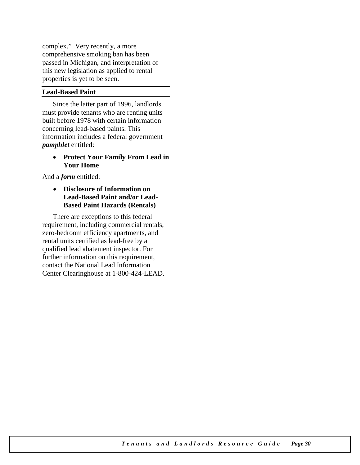complex." Very recently, a more comprehensive smoking ban has been passed in Michigan, and interpretation of this new legislation as applied to rental properties is yet to be seen.

#### **Lead-Based Paint**

Since the latter part of 1996, landlords must provide tenants who are renting units built before 1978 with certain information concerning lead-based paints. This information includes a federal government *pamphlet* entitled:

#### • **Protect Your Family From Lead in Your Home**

And a *form* entitled:

• **Disclosure of Information on Lead-Based Paint and/or Lead-Based Paint Hazards (Rentals)**

There are exceptions to this federal requirement, including commercial rentals, zero-bedroom efficiency apartments, and rental units certified as lead-free by a qualified lead abatement inspector. For further information on this requirement, contact the National Lead Information Center Clearinghouse at 1-800-424-LEAD.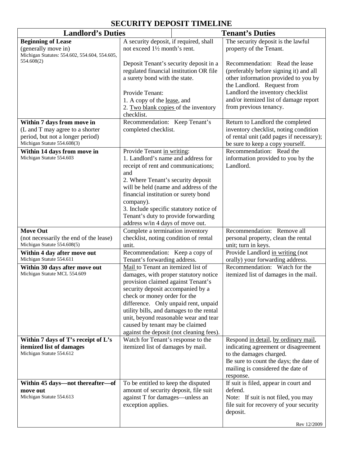#### **SECURITY DEPOSIT TIMELINE**

| A security deposit, if required, shall<br>The security deposit is the lawful<br><b>Beginning of Lease</b><br>property of the Tenant.<br>(generally move in)<br>not exceed 1 <sup>1/2</sup> month's rent.<br>Michigan Statutes: 554.602, 554.604, 554.605,<br>554.608(2)<br>Deposit Tenant's security deposit in a<br>regulated financial institution OR file<br>a surety bond with the state.<br>the Landlord. Request from<br>Landlord the inventory checklist<br>Provide Tenant:<br>1. A copy of the lease, and<br>from previous tenancy.<br>2. Two blank copies of the inventory<br>checklist.<br>Recommendation: Keep Tenant's<br>Within 7 days from move in<br>(L and T may agree to a shorter<br>completed checklist.<br>period, but not a longer period)<br>Michigan Statute 554.608(3)<br>be sure to keep a copy yourself.<br>Recommendation: Read the<br>Within 14 days from move in<br>Provide Tenant in writing:<br>Michigan Statute 554.603<br>1. Landlord's name and address for<br>Landlord.<br>receipt of rent and communications;<br>and<br>2. Where Tenant's security deposit<br>will be held (name and address of the<br>financial institution or surety bond<br>company).<br>3. Include specific statutory notice of<br>Tenant's duty to provide forwarding<br>address w/in 4 days of move out.<br>Recommendation: Remove all<br><b>Move Out</b><br>Complete a termination inventory<br>checklist, noting condition of rental<br>(not necessarily the end of the lease)<br>Michigan Statute 554.608(5)<br>unit; turn in keys.<br>unit.<br>Recommendation: Keep a copy of<br>Provide Landlord in writing (not<br>Within 4 day after move out<br>Michigan Statute 554.611<br>Tenant's forwarding address.<br>orally) your forwarding address.<br>Mail to Tenant an itemized list of<br>Within 30 days after move out<br>Michigan Statute MCL 554.609<br>damages, with proper statutory notice<br>provision claimed against Tenant's<br>security deposit accompanied by a<br>check or money order for the<br>difference. Only unpaid rent, unpaid<br>utility bills, and damages to the rental<br>unit, beyond reasonable wear and tear<br>caused by tenant may be claimed<br>against the deposit (not cleaning fees).<br>Watch for Tenant's response to the<br>Within 7 days of T's receipt of L's<br>itemized list of damages by mail.<br>itemized list of damages<br>Michigan Statute 554.612<br>to the damages charged.<br>mailing is considered the date of<br>response.<br>Within 45 days—not thereafter—of<br>To be entitled to keep the disputed<br>amount of security deposit, file suit<br>defend.<br>move out<br>Michigan Statute 554.613<br>against T for damages—unless an | <b>Landlord's Duties</b> |                    | <b>Tenant's Duties</b> |                                                                                                                                                           |
|--------------------------------------------------------------------------------------------------------------------------------------------------------------------------------------------------------------------------------------------------------------------------------------------------------------------------------------------------------------------------------------------------------------------------------------------------------------------------------------------------------------------------------------------------------------------------------------------------------------------------------------------------------------------------------------------------------------------------------------------------------------------------------------------------------------------------------------------------------------------------------------------------------------------------------------------------------------------------------------------------------------------------------------------------------------------------------------------------------------------------------------------------------------------------------------------------------------------------------------------------------------------------------------------------------------------------------------------------------------------------------------------------------------------------------------------------------------------------------------------------------------------------------------------------------------------------------------------------------------------------------------------------------------------------------------------------------------------------------------------------------------------------------------------------------------------------------------------------------------------------------------------------------------------------------------------------------------------------------------------------------------------------------------------------------------------------------------------------------------------------------------------------------------------------------------------------------------------------------------------------------------------------------------------------------------------------------------------------------------------------------------------------------------------------------------------------------------------------------------------------------------------------------------------------------------------------------------------------------------------------------------------------------------------------------------------------------|--------------------------|--------------------|------------------------|-----------------------------------------------------------------------------------------------------------------------------------------------------------|
|                                                                                                                                                                                                                                                                                                                                                                                                                                                                                                                                                                                                                                                                                                                                                                                                                                                                                                                                                                                                                                                                                                                                                                                                                                                                                                                                                                                                                                                                                                                                                                                                                                                                                                                                                                                                                                                                                                                                                                                                                                                                                                                                                                                                                                                                                                                                                                                                                                                                                                                                                                                                                                                                                                        |                          |                    |                        |                                                                                                                                                           |
|                                                                                                                                                                                                                                                                                                                                                                                                                                                                                                                                                                                                                                                                                                                                                                                                                                                                                                                                                                                                                                                                                                                                                                                                                                                                                                                                                                                                                                                                                                                                                                                                                                                                                                                                                                                                                                                                                                                                                                                                                                                                                                                                                                                                                                                                                                                                                                                                                                                                                                                                                                                                                                                                                                        |                          |                    |                        | Recommendation: Read the lease<br>(preferably before signing it) and all<br>other information provided to you by<br>and/or itemized list of damage report |
|                                                                                                                                                                                                                                                                                                                                                                                                                                                                                                                                                                                                                                                                                                                                                                                                                                                                                                                                                                                                                                                                                                                                                                                                                                                                                                                                                                                                                                                                                                                                                                                                                                                                                                                                                                                                                                                                                                                                                                                                                                                                                                                                                                                                                                                                                                                                                                                                                                                                                                                                                                                                                                                                                                        |                          |                    |                        | Return to Landlord the completed<br>inventory checklist, noting condition<br>of rental unit (add pages if necessary);                                     |
|                                                                                                                                                                                                                                                                                                                                                                                                                                                                                                                                                                                                                                                                                                                                                                                                                                                                                                                                                                                                                                                                                                                                                                                                                                                                                                                                                                                                                                                                                                                                                                                                                                                                                                                                                                                                                                                                                                                                                                                                                                                                                                                                                                                                                                                                                                                                                                                                                                                                                                                                                                                                                                                                                                        |                          |                    |                        | information provided to you by the                                                                                                                        |
|                                                                                                                                                                                                                                                                                                                                                                                                                                                                                                                                                                                                                                                                                                                                                                                                                                                                                                                                                                                                                                                                                                                                                                                                                                                                                                                                                                                                                                                                                                                                                                                                                                                                                                                                                                                                                                                                                                                                                                                                                                                                                                                                                                                                                                                                                                                                                                                                                                                                                                                                                                                                                                                                                                        |                          |                    |                        | personal property, clean the rental                                                                                                                       |
|                                                                                                                                                                                                                                                                                                                                                                                                                                                                                                                                                                                                                                                                                                                                                                                                                                                                                                                                                                                                                                                                                                                                                                                                                                                                                                                                                                                                                                                                                                                                                                                                                                                                                                                                                                                                                                                                                                                                                                                                                                                                                                                                                                                                                                                                                                                                                                                                                                                                                                                                                                                                                                                                                                        |                          |                    |                        |                                                                                                                                                           |
|                                                                                                                                                                                                                                                                                                                                                                                                                                                                                                                                                                                                                                                                                                                                                                                                                                                                                                                                                                                                                                                                                                                                                                                                                                                                                                                                                                                                                                                                                                                                                                                                                                                                                                                                                                                                                                                                                                                                                                                                                                                                                                                                                                                                                                                                                                                                                                                                                                                                                                                                                                                                                                                                                                        |                          |                    |                        | Recommendation: Watch for the<br>itemized list of damages in the mail.                                                                                    |
|                                                                                                                                                                                                                                                                                                                                                                                                                                                                                                                                                                                                                                                                                                                                                                                                                                                                                                                                                                                                                                                                                                                                                                                                                                                                                                                                                                                                                                                                                                                                                                                                                                                                                                                                                                                                                                                                                                                                                                                                                                                                                                                                                                                                                                                                                                                                                                                                                                                                                                                                                                                                                                                                                                        |                          |                    |                        | Respond in detail, by ordinary mail,<br>indicating agreement or disagreement<br>Be sure to count the days; the date of                                    |
| deposit.                                                                                                                                                                                                                                                                                                                                                                                                                                                                                                                                                                                                                                                                                                                                                                                                                                                                                                                                                                                                                                                                                                                                                                                                                                                                                                                                                                                                                                                                                                                                                                                                                                                                                                                                                                                                                                                                                                                                                                                                                                                                                                                                                                                                                                                                                                                                                                                                                                                                                                                                                                                                                                                                                               |                          | exception applies. |                        | If suit is filed, appear in court and<br>Note: If suit is not filed, you may<br>file suit for recovery of your security<br>Rev 12/2009                    |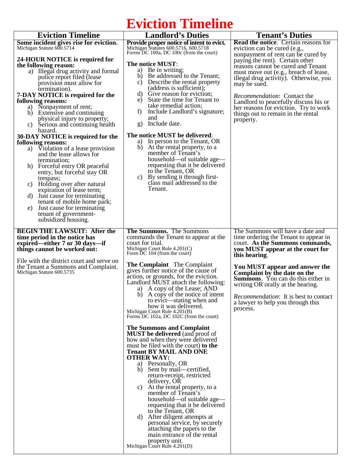# **Eviction Timeline**

| <b>Eviction Timeline</b><br>Some incident gives rise for eviction.<br>Michigan Statute 600.5714<br>24-HOUR NOTICE is required for<br>the following reason:<br>a) Illegal drug activity and formal<br>police report filed (lease)<br>provision must allow for<br>termination).<br>7-DAY NOTICE is required for the<br>following reasons:<br>a) Nonpayment of rent;<br>Extensive and continuing<br>b)<br>physical injury to property;<br>c) Serious and continuing health<br>hazard.<br>30-DAY NOTICE is required for the<br>following reasons:<br>Violation of a lease provision<br>a)<br>and the lease allows for<br>termination;<br>Forceful entry OR peaceful<br>b)<br>entry, but forceful stay OR<br>trespass;<br>Holding over after natural<br>C)<br>expiration of lease term;<br>Just cause for terminating<br>d)<br>tenant of mobile home park;<br>Just cause for terminating<br>e)<br>tenant of government-<br>subsidized housing. | <b>Landlord's Duties</b><br>Provide proper notice of intent to evict.<br>Michigan Statutes 600.5716, 600.5718<br>Forms DC 100a, DC 100c (from the court)<br>The notice MUST:<br>Be in writing;<br>a)<br>Be addressed to the Tenant;<br>b)<br>Describe the rental property<br>C)<br>(address is sufficient);<br>Give reason for eviction;<br>d)<br>State the time for Tenant to<br>e)<br>take remedial action;<br>Include Landlord's signature;<br>f)<br>and<br>Include date.<br>$\mathbf{g}$<br>The notice MUST be delivered:<br>a) In person to the Tenant, OR<br>b)<br>At the rental property, to a<br>member of Tenant's<br>household—of suitable age—<br>requesting that it be delivered<br>to the Tenant, OR<br>c) By sending it through first-<br>class mail addressed to the<br>Tenant. | <b>Tenant's Duties</b><br><b>Read the notice.</b> Certain reasons for<br>eviction can be cured (e.g.,<br>nonpayment of rent can be cured by<br>paying the rent). Certain other<br>reasons cannot be cured and Tenant<br>must move out (e.g., breach of lease,<br>illegal drug activity). Otherwise, you<br>may be sued.<br><i>Recommendation:</i> Contact the<br>Landlord to peacefully discuss his or<br>her reasons for eviction. Try to work<br>things out to remain in the rental<br>property. |
|-------------------------------------------------------------------------------------------------------------------------------------------------------------------------------------------------------------------------------------------------------------------------------------------------------------------------------------------------------------------------------------------------------------------------------------------------------------------------------------------------------------------------------------------------------------------------------------------------------------------------------------------------------------------------------------------------------------------------------------------------------------------------------------------------------------------------------------------------------------------------------------------------------------------------------------------|------------------------------------------------------------------------------------------------------------------------------------------------------------------------------------------------------------------------------------------------------------------------------------------------------------------------------------------------------------------------------------------------------------------------------------------------------------------------------------------------------------------------------------------------------------------------------------------------------------------------------------------------------------------------------------------------------------------------------------------------------------------------------------------------|----------------------------------------------------------------------------------------------------------------------------------------------------------------------------------------------------------------------------------------------------------------------------------------------------------------------------------------------------------------------------------------------------------------------------------------------------------------------------------------------------|
|                                                                                                                                                                                                                                                                                                                                                                                                                                                                                                                                                                                                                                                                                                                                                                                                                                                                                                                                           |                                                                                                                                                                                                                                                                                                                                                                                                                                                                                                                                                                                                                                                                                                                                                                                                |                                                                                                                                                                                                                                                                                                                                                                                                                                                                                                    |
| <b>BEGIN THE LAWSUIT: After the</b><br>time period in the notice has<br>expired—either 7 or 30 days—if<br>things cannot be worked out:<br>File with the district court and serve on<br>the Tenant a Summons and Complaint.                                                                                                                                                                                                                                                                                                                                                                                                                                                                                                                                                                                                                                                                                                                | The Summons. The Summons<br>commands the Tenant to appear at the<br>court for trial.<br>Michigan Court Rule 4.201(C)<br>Form DC 104 (from the court)<br><b>The Complaint</b> The Complaint<br>gives further notice of the cause of                                                                                                                                                                                                                                                                                                                                                                                                                                                                                                                                                             | The Summons will have a date and<br>time ordering the Tenant to appear in<br>court. As the Summons commands,<br>you MUST appear at the court for<br>this hearing.<br>You MUST appear and answer the                                                                                                                                                                                                                                                                                                |
| Michigan Statute 600.5735                                                                                                                                                                                                                                                                                                                                                                                                                                                                                                                                                                                                                                                                                                                                                                                                                                                                                                                 | action, or grounds, for the eviction.<br>Landlord MUST attach the following:<br>a) A copy of the Lease; AND<br>b) A copy of the notice of intent<br>to evict—stating when and<br>how it was delivered.<br>Michigan Court Rule 4.201(B)<br>Forms DC 102a, DC 102C (from the court)                                                                                                                                                                                                                                                                                                                                                                                                                                                                                                              | Complaint by the date on the<br><b>Summons.</b> You can do this either in<br>writing OR orally at the hearing.<br><i>Recommendation</i> : It is best to contact<br>a lawyer to help you through this<br>process.                                                                                                                                                                                                                                                                                   |
|                                                                                                                                                                                                                                                                                                                                                                                                                                                                                                                                                                                                                                                                                                                                                                                                                                                                                                                                           | The Summons and Complaint<br><b>MUST</b> be delivered (and proof of<br>how and when they were delivered<br>must be filed with the court) to the<br><b>Tenant BY MAIL AND ONE</b><br><b>OTHER WAY:</b><br>a) Personally, OR<br>b) Sent by mail—certified,<br>return-receipt, restricted<br>delivery, OR<br>At the rental property, to a<br>C)<br>member of Tenant's<br>household—of suitable age—<br>requesting that it be delivered<br>to the Tenant, OR<br>d) After diligent attempts at<br>personal service, by securely<br>attaching the papers to the<br>main entrance of the rental<br>property unit.<br>Michigan Court Rule 4.201(D)                                                                                                                                                     |                                                                                                                                                                                                                                                                                                                                                                                                                                                                                                    |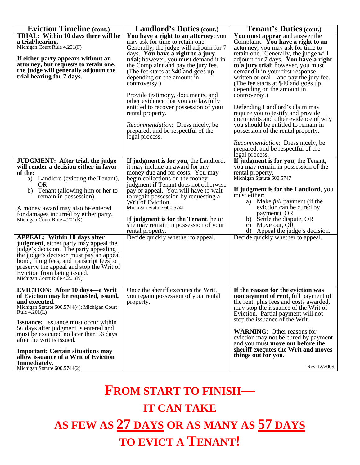| <b>Eviction Timeline (cont.)</b>                                                                                                                                                                                                                                                                                                                                                                                                                                                                                                                                                                                                                                      | <b>Landlord's Duties (cont.)</b>                                                                                                                                                                                                                                                                                                                                                                                                                                   | <b>Tenant's Duties (cont.)</b>                                                                                                                                                                                                                                                                                                                                                                                         |
|-----------------------------------------------------------------------------------------------------------------------------------------------------------------------------------------------------------------------------------------------------------------------------------------------------------------------------------------------------------------------------------------------------------------------------------------------------------------------------------------------------------------------------------------------------------------------------------------------------------------------------------------------------------------------|--------------------------------------------------------------------------------------------------------------------------------------------------------------------------------------------------------------------------------------------------------------------------------------------------------------------------------------------------------------------------------------------------------------------------------------------------------------------|------------------------------------------------------------------------------------------------------------------------------------------------------------------------------------------------------------------------------------------------------------------------------------------------------------------------------------------------------------------------------------------------------------------------|
| <b>TRIAL: Within 10 days there will be</b><br>a trial/hearing.<br>Michigan Court Rule 4.201(F)<br>If either party appears without an<br>attorney, but requests to retain one,                                                                                                                                                                                                                                                                                                                                                                                                                                                                                         | You have a right to an attorney; you<br>may ask for time to retain one.<br>Generally, the judge will adjourn for 7<br>days. You have a right to a jury<br>trial; however, you must demand it in<br>the Complaint and pay the jury fee.                                                                                                                                                                                                                             | You must appear and answer the<br>Complaint. You have a right to an<br><b>attorney</b> ; you may ask for time to<br>retain one. Generally, the judge will<br>adjourn for 7 days. You have a right<br>to a jury trial; however, you must                                                                                                                                                                                |
| the judge will generally adjourn the<br>trial hearing for 7 days.                                                                                                                                                                                                                                                                                                                                                                                                                                                                                                                                                                                                     | (The fee starts at \$40 and goes up)<br>depending on the amount in<br>controversy.)<br>Provide testimony, documents, and<br>other evidence that you are lawfully<br>entitled to recover possession of your<br>rental property.<br><i>Recommendation:</i> Dress nicely, be<br>prepared, and be respectful of the                                                                                                                                                    | demand it in your first response—<br>written or oral—and pay the jury fee.<br>(The fee starts at \$40 and goes up<br>depending on the amount in<br>controversy.)<br>Defending Landlord's claim may<br>require you to testify and provide<br>documents and other evidence of why<br>you should be entitled to remain in<br>possession of the rental property.                                                           |
|                                                                                                                                                                                                                                                                                                                                                                                                                                                                                                                                                                                                                                                                       | legal process.                                                                                                                                                                                                                                                                                                                                                                                                                                                     | <i>Recommendation:</i> Dress nicely, be<br>prepared, and be respectful of the<br>legal process.                                                                                                                                                                                                                                                                                                                        |
| <b>JUDGMENT:</b> After trial, the judge<br>will render a decision either in favor<br>of the:<br>a) Landlord (evicting the Tenant),<br><b>OR</b><br>b)<br>Tenant (allowing him or her to<br>remain in possession).<br>A money award may also be entered<br>for damages incurred by either party.<br>Michigan Court Rule $4.201(K)$<br><b>APPEAL:</b> Within 10 days after<br><b>judgment</b> , either party may appeal the<br>judge's decision. The party appealing<br>the judge's decision must pay an appeal<br>bond, filing fees, and transcript fees to<br>preserve the appeal and stop the Writ of<br>Eviction from being issued.<br>Michigan Court Rule 4.201(N) | If judgment is for you, the Landlord,<br>it may include an award for any<br>money due and for costs. You may<br>begin collections on the money<br>judgment if Tenant does not otherwise<br>pay or appeal. You will have to wait<br>to regain possession by requesting a<br>Writ of Eviction.<br>Michigan Statute 600.5741<br>If judgment is for the Tenant, he or<br>she may remain in possession of your<br>rental property.<br>Decide quickly whether to appeal. | If judgment is for you, the Tenant,<br>you may remain in possession of the<br>rental property.<br>Michigan Statute 600.5747<br>If judgment is for the Landlord, you<br>must either:<br>Make <i>full</i> payment (if the<br>a)<br>eviction can be cured by<br>payment), OR<br>Settle the dispute, OR<br>b)<br>Move out, OR<br>$\mathbf{c}$ )<br>Appeal the judge's decision.<br>d)<br>Decide quickly whether to appeal. |
| <b>EVICTION: After 10 days—a Writ</b><br>of Eviction may be requested, issued,<br>and executed.<br>Michigan Statute 600.5744(4); Michigan Court<br>Rule $4.201(L)$<br><b>Issuance:</b> Issuance must occur within<br>56 days after judgment is entered and<br>must be executed no later than 56 days<br>after the writ is issued.<br><b>Important: Certain situations may</b><br>allow issuance of a Writ of Eviction<br>Immediately.                                                                                                                                                                                                                                 | Once the sheriff executes the Writ,<br>you regain possession of your rental<br>property.                                                                                                                                                                                                                                                                                                                                                                           | If the reason for the eviction was<br>nonpayment of rent, full payment of<br>the rent, plus fees and costs awarded,<br>may stop the issuance of the Writ of<br>Eviction. Partial payment will not<br>stop the issuance of the Writ.<br><b>WARNING:</b> Other reasons for<br>eviction may not be cured by payment<br>and you must move out before the<br>sheriff executes the Writ and moves<br>things out for you.     |
| Michigan Statute 600.5744(2)                                                                                                                                                                                                                                                                                                                                                                                                                                                                                                                                                                                                                                          |                                                                                                                                                                                                                                                                                                                                                                                                                                                                    | Rev 12/2009                                                                                                                                                                                                                                                                                                                                                                                                            |

# **FROM START TO FINISH—**

**IT CAN TAKE**

**AS FEW AS 27 DAYS OR AS MANY AS 57 DAYS TO EVICT A TENANT!**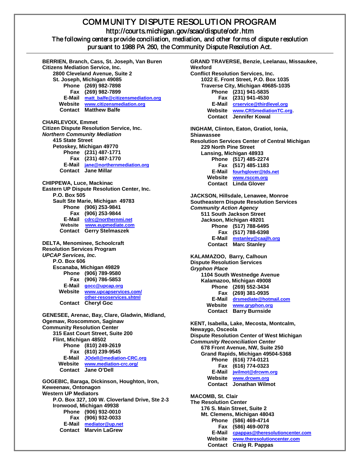### COMMUNITY DISPUTE RESOLUTION PROGRAM http://courts.michigan.gov/scao/dispute/odr.htm<br>The following centers provide conciliation, mediation, and other forms of dispute resolution pursuant to 1988 PA 260, the Community Dispute Resolution Act.

Ī

**BERRIEN, Branch, Cass, St. Joseph, Van Buren Citizens Mediation Service, Inc. 2800 Cleveland Avenue, Suite 2 St. Joseph, Michigan 49085 Phone (269) 982-7898 Fax (269) 982-7899 E-Mail [matt\\_balfe@citizensmediation.org](mailto:matt_balfe@citizensmediation.org) Website [www.citizensmediation.org](http://www.citizensmediation.org/) Contact Matthew Balfe CHARLEVOIX, Emmet Citizen Dispute Resolution Service, Inc.** *Northern Community Mediation* **415 State Street Petoskey, Michigan 49770 Phone (231) 487-1771 Fax (231) 487-1770 E-Mail [jane@northernmediation.org](mailto:Jane@NorthernMediation.org) Contact Jane Millar CHIPPEWA, Luce, Mackinac Eastern UP Dispute Resolution Center, Inc. P.O. Box 505 Sault Ste Marie, Michigan 49783 Phone (906) 253-9841 Fax (906) 253-9844 E-Mail [cdrc@northernmi.net](mailto:cdrc@northernmi.net) Website [www.eupmediate.com](http://www.eupmediate.com/) Contact Gerry Stelmaszek DELTA, Menominee, Schoolcraft Resolution Services Program** *UPCAP Services, Inc.* **P.O. Box 606 Escanaba, Michigan 49829 Phone (906) 789-9580 Fax (906) 786-5853 E-Mail [gocc@upcap.org](mailto:gocc@upcap.org) Website [www.upcapservices.com/](http://www.upcapservices.com/other-resoservices.shtml) [other-resoservices.shtml](http://www.upcapservices.com/other-resoservices.shtml) Contact Cheryl Goc GENESEE, Arenac, Bay, Clare, Gladwin, Midland, Ogemaw, Roscommon, Saginaw Community Resolution Center 315 East Court Street, Suite 200 Flint, Michigan 48502 Phone (810) 249-2619 Fax (810) 239-9545 E-Mail [JOdell@mediation-CRC.org](mailto:JOdell@mediation-CRC.org) Website [www.mediation-crc.org/](http://www.mediation-crc.org/) Contact Jane O'Dell GOGEBIC, Baraga, Dickinson, Houghton, Iron, Keweenaw, Ontonagon Western UP Mediators P.O. Box 327, 100 W. Cloverland Drive, Ste 2-3 Ironwood, Michigan 49938 Phone (906) 932-0010 Fax (906) 932-0033 E-Mail [mediator@up.net](mailto:mediator@up.net) Contact Marvin LaGrew**

**GRAND TRAVERSE, Benzie, Leelanau, Missaukee, Wexford Conflict Resolution Services, Inc. 1022 E. Front Street, P.O. Box 1035 Traverse City, Michigan 49685-1035 Phone (231) 941-5835 Fax (231) 941-4530 E-Mail [crservice@thirdlevel.org](mailto:CRService@thirdlevel.org) Website [www.CRSmediationTC.org](http://www.crsmediationtc.org/)**. **Contact Jennifer Kowal INGHAM, Clinton, Eaton, Gratiot, Ionia, Shiawassee Resolution Services Center of Central Michigan 229 North Pine Street Lansing, Michigan 48933 Phone (517) 485-2274 Fax (517) 485-1183 E-Mail [fourhglover@tds.net](mailto:fourhglover@tds.net) Website [www.rsccm.org](http://www.rsccm.org/) Contact Linda Glover JACKSON, Hillsdale, Lenawee, Monroe Southeastern Dispute Resolution Services** *Community Action Agency* **511 South Jackson Street Jackson, Michigan 49201 Phone (517) 788-6495 Fax (517) 788-6398 E-Mail [mstanley@caajlh.org](mailto:mstanley@caajlh.org) Contact Marc Stanley KALAMAZOO, Barry, Calhoun Dispute Resolution Services** *Gryphon Place* **1104 South Westnedge Avenue Kalamazoo, Michigan 49008 Phone (269) 552-3434 Fax (269) 381-0935 E-Mail [drsmediate@hotmail.com](mailto:drsmediate@hotmail.com) Website [www.gryphon.org](http://www.gryphon.org/) Contact Barry Burnside KENT, Isabella, Lake, Mecosta, Montcalm, Newaygo, Osceola Dispute Resolution Center of West Michigan** *Community Reconciliation Center* **678 Front Avenue, NW, Suite 250 Grand Rapids, Michigan 49504-5368 Phone (616) 774-0121 Fax (616) 774-0323 E-Mail Website [jwilmot@drcwm.org](mailto:jwilmot@drcwmich.org) [www.drcwm.org](http://www.drcwm.org/) Contact Jonathan Wilmot MACOMB, St. Clair The Resolution Center 176 S. Main Street, Suite 2 Mt. Clemens, Michigan 48043 Phone (586) 469-4714 Fax (586) 469-0078 E-Mail cpappas@theresolutioncenter.com Website [www.theresolutioncenter.com](http://www.theresolutioncenter.com/)**

**Contact Craig R. Pappas**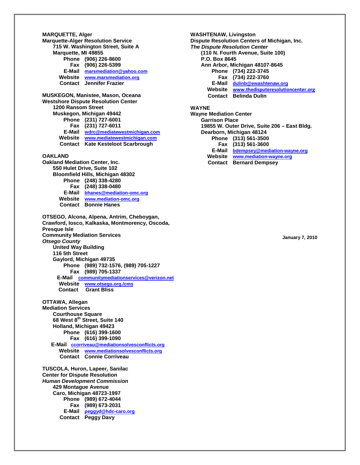**MARQUETTE, Alger Marquette-Alger Resolution Service 715 W. Washington Street, Suite A Marquette, MI 49855 Phone (906) 226-8600 Fax (906) 226-5399 [marsmediation@yahoo.com](mailto:marsmediation@yahoo.com) Website [www.marsmediation.org](http://www.marsmediation.org/) Contact Jennifer Frazier MUSKEGON, Manistee, Mason, Oceana Westshore Dispute Resolution Center 1200 Ransom Street Muskegon, Michigan 49442 Phone (231) 727-6001 Fax (231) 727-6011 E-Mail [wdrc@mediatewestmichigan.com](mailto:wdrc@mediatewestmichigan.com) Website [www.mediatewestmichigan.com](http://www.mediatewestmichigan.com/) Contact Kate Kesteloot Scarbrough OAKLAND Oakland Mediation Center, Inc. 550 Hulet Drive, Suite 102 Bloomfield Hills, Michigan 48302 Phone (248) 338-4280 Fax (248) 338-0480 E-Mail [bhanes@mediation-omc.org](mailto:bhanes@mediation.org) Website [www.mediation-omc.org](http://www.mediation-omc.org/) Contact Bonnie Hanes OTSEGO, Alcona, Alpena, Antrim, Cheboygan, Crawford, Iosco, Kalkaska, Montmorency, Oscoda, Presque Isle Community Mediation Services** *Otsego County* **United Way Building 116 5th Street Gaylord, Michigan 49735 Phone (989) 732-1576, (989) 705-1227 Fax (989) 705-1337 E-Mail [communitymediationservices@verizon.net](mailto:communitymediationservices@verizon.net) Website [www.otsego.org./cms](http://www.otsego.org./cms) Contact Grant Bliss OTTAWA, Allegan Mediation Services Courthouse Square 68 West 8th Street, Suite 140 Holland, Michigan 49423 Phone (616) 399-1600 Fax (616) 399-1090 E-Mail ccorriveau@mediationsolvesconflicts.org Website Contact Connie Corriveau [www.mediationsolvesconflicts.org](http://www.mediationsolvesconflicts.org/) TUSCOLA, Huron, Lapeer, Sanilac Center for Dispute Resolution** *Human Development Commission* **429 Montague Avenue Caro, Michigan 48723-1997 Phone (989) 672-4044 Fax (989) 673-2031 E-Mail [peggyd@hdc-caro.org](mailto:peggyd@hdc-caro.org) Contact Peggy Davy**

**WASHTENAW, Livingston Dispute Resolution Centers of Michigan, Inc.** *The Dispute Resolution Center* **(110 N. Fourth Avenue, Suite 100) P.O. Box 8645 Ann Arbor, Michigan 48107-8645 Phone (734) 222-3745 Fax (734) 222-3760 E-Mail [dulinb@ewashtenaw.org](mailto:dulinb@ewashtenaw.org) Website [www.thedisputeresolutioncenter.org](http://www.thedisputeresolutioncenter.org/) Contact Belinda Dulin WAYNE Wayne Mediation Center Garrison Place 19855 W. Outer Drive, Suite 206 – East Bldg.**

**E-Mail [bdempsey](mailto:bdempsey@mediation-wayne.org)[@mediation-wayne.org](mailto:Lischeron@mediation-wayne.org)**

**Website [www.mediation-wayne.org](http://www.mediation-wayne.org/) Contact Bernard Dempsey**

**Dearborn, Michigan 48124 Phone (313) 561-3500 Fax (313) 561-3600** 

**January 7, 2010**